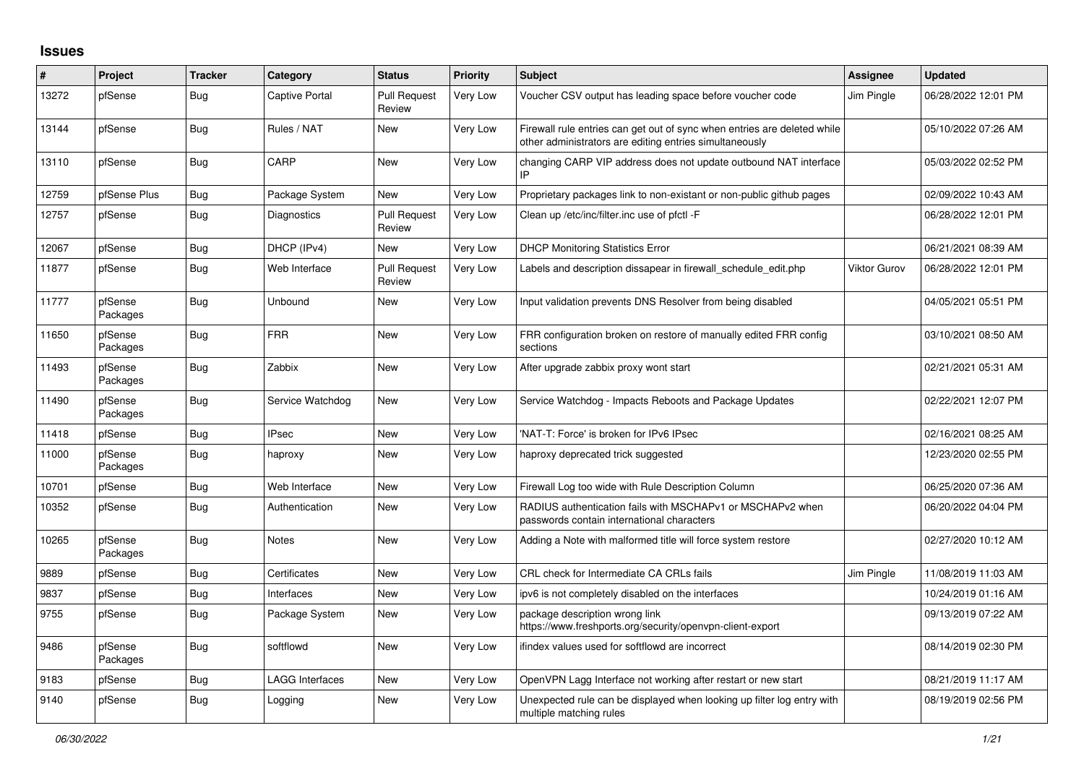## **Issues**

| #     | Project             | <b>Tracker</b> | Category               | <b>Status</b>                 | <b>Priority</b> | <b>Subject</b>                                                                                                                      | Assignee            | <b>Updated</b>      |
|-------|---------------------|----------------|------------------------|-------------------------------|-----------------|-------------------------------------------------------------------------------------------------------------------------------------|---------------------|---------------------|
| 13272 | pfSense             | <b>Bug</b>     | <b>Captive Portal</b>  | <b>Pull Request</b><br>Review | Very Low        | Voucher CSV output has leading space before voucher code                                                                            | Jim Pingle          | 06/28/2022 12:01 PM |
| 13144 | pfSense             | <b>Bug</b>     | Rules / NAT            | <b>New</b>                    | Very Low        | Firewall rule entries can get out of sync when entries are deleted while<br>other administrators are editing entries simultaneously |                     | 05/10/2022 07:26 AM |
| 13110 | pfSense             | <b>Bug</b>     | CARP                   | <b>New</b>                    | Very Low        | changing CARP VIP address does not update outbound NAT interface<br>IP                                                              |                     | 05/03/2022 02:52 PM |
| 12759 | pfSense Plus        | <b>Bug</b>     | Package System         | New                           | Very Low        | Proprietary packages link to non-existant or non-public github pages                                                                |                     | 02/09/2022 10:43 AM |
| 12757 | pfSense             | Bug            | Diagnostics            | <b>Pull Request</b><br>Review | Very Low        | Clean up /etc/inc/filter.inc use of pfctl -F                                                                                        |                     | 06/28/2022 12:01 PM |
| 12067 | pfSense             | Bug            | DHCP (IPv4)            | <b>New</b>                    | Very Low        | <b>DHCP Monitoring Statistics Error</b>                                                                                             |                     | 06/21/2021 08:39 AM |
| 11877 | pfSense             | <b>Bug</b>     | Web Interface          | <b>Pull Request</b><br>Review | Very Low        | Labels and description dissapear in firewall schedule edit.php                                                                      | <b>Viktor Gurov</b> | 06/28/2022 12:01 PM |
| 11777 | pfSense<br>Packages | <b>Bug</b>     | Unbound                | <b>New</b>                    | Very Low        | Input validation prevents DNS Resolver from being disabled                                                                          |                     | 04/05/2021 05:51 PM |
| 11650 | pfSense<br>Packages | <b>Bug</b>     | <b>FRR</b>             | <b>New</b>                    | Very Low        | FRR configuration broken on restore of manually edited FRR config<br>sections                                                       |                     | 03/10/2021 08:50 AM |
| 11493 | pfSense<br>Packages | <b>Bug</b>     | Zabbix                 | <b>New</b>                    | Very Low        | After upgrade zabbix proxy wont start                                                                                               |                     | 02/21/2021 05:31 AM |
| 11490 | pfSense<br>Packages | Bug            | Service Watchdog       | New                           | Very Low        | Service Watchdog - Impacts Reboots and Package Updates                                                                              |                     | 02/22/2021 12:07 PM |
| 11418 | pfSense             | <b>Bug</b>     | <b>IPsec</b>           | <b>New</b>                    | Very Low        | 'NAT-T: Force' is broken for IPv6 IPsec                                                                                             |                     | 02/16/2021 08:25 AM |
| 11000 | pfSense<br>Packages | Bug            | haproxy                | <b>New</b>                    | Very Low        | haproxy deprecated trick suggested                                                                                                  |                     | 12/23/2020 02:55 PM |
| 10701 | pfSense             | <b>Bug</b>     | Web Interface          | <b>New</b>                    | Very Low        | Firewall Log too wide with Rule Description Column                                                                                  |                     | 06/25/2020 07:36 AM |
| 10352 | pfSense             | <b>Bug</b>     | Authentication         | <b>New</b>                    | Very Low        | RADIUS authentication fails with MSCHAPv1 or MSCHAPv2 when<br>passwords contain international characters                            |                     | 06/20/2022 04:04 PM |
| 10265 | pfSense<br>Packages | <b>Bug</b>     | Notes                  | <b>New</b>                    | Very Low        | Adding a Note with malformed title will force system restore                                                                        |                     | 02/27/2020 10:12 AM |
| 9889  | pfSense             | Bug            | Certificates           | <b>New</b>                    | Very Low        | CRL check for Intermediate CA CRLs fails                                                                                            | Jim Pingle          | 11/08/2019 11:03 AM |
| 9837  | pfSense             | <b>Bug</b>     | Interfaces             | New                           | Very Low        | ipv6 is not completely disabled on the interfaces                                                                                   |                     | 10/24/2019 01:16 AM |
| 9755  | pfSense             | <b>Bug</b>     | Package System         | <b>New</b>                    | Very Low        | package description wrong link<br>https://www.freshports.org/security/openvpn-client-export                                         |                     | 09/13/2019 07:22 AM |
| 9486  | pfSense<br>Packages | Bug            | softflowd              | <b>New</b>                    | Very Low        | ifindex values used for softflowd are incorrect                                                                                     |                     | 08/14/2019 02:30 PM |
| 9183  | pfSense             | <b>Bug</b>     | <b>LAGG Interfaces</b> | <b>New</b>                    | Very Low        | OpenVPN Lagg Interface not working after restart or new start                                                                       |                     | 08/21/2019 11:17 AM |
| 9140  | pfSense             | Bug            | Logging                | <b>New</b>                    | Very Low        | Unexpected rule can be displayed when looking up filter log entry with<br>multiple matching rules                                   |                     | 08/19/2019 02:56 PM |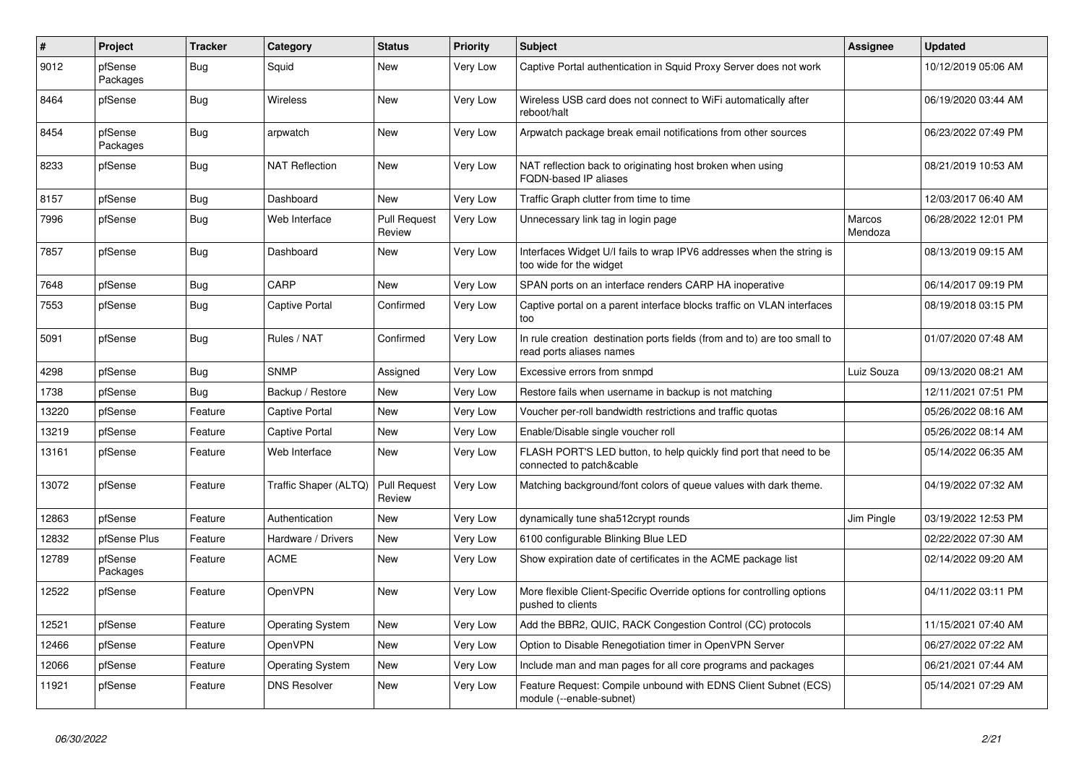| #     | Project             | <b>Tracker</b> | Category                | <b>Status</b>                 | <b>Priority</b> | <b>Subject</b>                                                                                       | Assignee          | <b>Updated</b>      |
|-------|---------------------|----------------|-------------------------|-------------------------------|-----------------|------------------------------------------------------------------------------------------------------|-------------------|---------------------|
| 9012  | pfSense<br>Packages | Bug            | Squid                   | New                           | Very Low        | Captive Portal authentication in Squid Proxy Server does not work                                    |                   | 10/12/2019 05:06 AM |
| 8464  | pfSense             | <b>Bug</b>     | <b>Wireless</b>         | <b>New</b>                    | Very Low        | Wireless USB card does not connect to WiFi automatically after<br>reboot/halt                        |                   | 06/19/2020 03:44 AM |
| 8454  | pfSense<br>Packages | <b>Bug</b>     | arpwatch                | <b>New</b>                    | Very Low        | Arpwatch package break email notifications from other sources                                        |                   | 06/23/2022 07:49 PM |
| 8233  | pfSense             | <b>Bug</b>     | <b>NAT Reflection</b>   | New                           | Very Low        | NAT reflection back to originating host broken when using<br><b>FQDN-based IP aliases</b>            |                   | 08/21/2019 10:53 AM |
| 8157  | pfSense             | Bug            | Dashboard               | <b>New</b>                    | Very Low        | Traffic Graph clutter from time to time                                                              |                   | 12/03/2017 06:40 AM |
| 7996  | pfSense             | <b>Bug</b>     | Web Interface           | Pull Request<br>Review        | Very Low        | Unnecessary link tag in login page                                                                   | Marcos<br>Mendoza | 06/28/2022 12:01 PM |
| 7857  | pfSense             | <b>Bug</b>     | Dashboard               | <b>New</b>                    | Very Low        | Interfaces Widget U/I fails to wrap IPV6 addresses when the string is<br>too wide for the widget     |                   | 08/13/2019 09:15 AM |
| 7648  | pfSense             | <b>Bug</b>     | CARP                    | New                           | Very Low        | SPAN ports on an interface renders CARP HA inoperative                                               |                   | 06/14/2017 09:19 PM |
| 7553  | pfSense             | <b>Bug</b>     | <b>Captive Portal</b>   | Confirmed                     | Very Low        | Captive portal on a parent interface blocks traffic on VLAN interfaces<br>too                        |                   | 08/19/2018 03:15 PM |
| 5091  | pfSense             | <b>Bug</b>     | Rules / NAT             | Confirmed                     | Very Low        | In rule creation destination ports fields (from and to) are too small to<br>read ports aliases names |                   | 01/07/2020 07:48 AM |
| 4298  | pfSense             | <b>Bug</b>     | <b>SNMP</b>             | Assigned                      | Very Low        | Excessive errors from snmpd                                                                          | Luiz Souza        | 09/13/2020 08:21 AM |
| 1738  | pfSense             | <b>Bug</b>     | Backup / Restore        | New                           | Very Low        | Restore fails when username in backup is not matching                                                |                   | 12/11/2021 07:51 PM |
| 13220 | pfSense             | Feature        | <b>Captive Portal</b>   | <b>New</b>                    | Very Low        | Voucher per-roll bandwidth restrictions and traffic quotas                                           |                   | 05/26/2022 08:16 AM |
| 13219 | pfSense             | Feature        | <b>Captive Portal</b>   | New                           | Very Low        | Enable/Disable single voucher roll                                                                   |                   | 05/26/2022 08:14 AM |
| 13161 | pfSense             | Feature        | Web Interface           | New                           | Very Low        | FLASH PORT'S LED button, to help quickly find port that need to be<br>connected to patch&cable       |                   | 05/14/2022 06:35 AM |
| 13072 | pfSense             | Feature        | Traffic Shaper (ALTQ)   | <b>Pull Request</b><br>Review | Very Low        | Matching background/font colors of queue values with dark theme.                                     |                   | 04/19/2022 07:32 AM |
| 12863 | pfSense             | Feature        | Authentication          | New                           | Very Low        | dynamically tune sha512crypt rounds                                                                  | Jim Pingle        | 03/19/2022 12:53 PM |
| 12832 | pfSense Plus        | Feature        | Hardware / Drivers      | New                           | Very Low        | 6100 configurable Blinking Blue LED                                                                  |                   | 02/22/2022 07:30 AM |
| 12789 | pfSense<br>Packages | Feature        | <b>ACME</b>             | New                           | Very Low        | Show expiration date of certificates in the ACME package list                                        |                   | 02/14/2022 09:20 AM |
| 12522 | pfSense             | Feature        | OpenVPN                 | New                           | Very Low        | More flexible Client-Specific Override options for controlling options<br>pushed to clients          |                   | 04/11/2022 03:11 PM |
| 12521 | pfSense             | Feature        | <b>Operating System</b> | New                           | Very Low        | Add the BBR2, QUIC, RACK Congestion Control (CC) protocols                                           |                   | 11/15/2021 07:40 AM |
| 12466 | pfSense             | Feature        | OpenVPN                 | New                           | Very Low        | Option to Disable Renegotiation timer in OpenVPN Server                                              |                   | 06/27/2022 07:22 AM |
| 12066 | pfSense             | Feature        | <b>Operating System</b> | New                           | Very Low        | Include man and man pages for all core programs and packages                                         |                   | 06/21/2021 07:44 AM |
| 11921 | pfSense             | Feature        | <b>DNS Resolver</b>     | <b>New</b>                    | Very Low        | Feature Request: Compile unbound with EDNS Client Subnet (ECS)<br>module (--enable-subnet)           |                   | 05/14/2021 07:29 AM |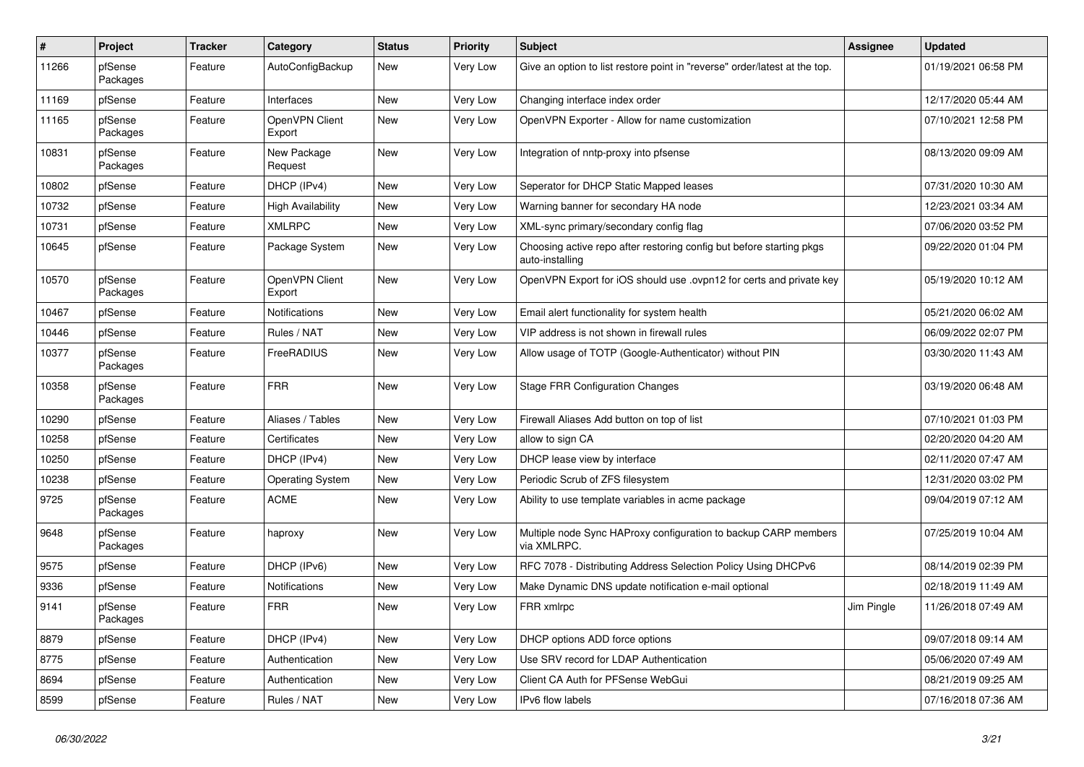| #     | Project             | <b>Tracker</b> | Category                 | <b>Status</b> | <b>Priority</b> | <b>Subject</b>                                                                          | Assignee   | <b>Updated</b>      |
|-------|---------------------|----------------|--------------------------|---------------|-----------------|-----------------------------------------------------------------------------------------|------------|---------------------|
| 11266 | pfSense<br>Packages | Feature        | AutoConfigBackup         | New           | Very Low        | Give an option to list restore point in "reverse" order/latest at the top.              |            | 01/19/2021 06:58 PM |
| 11169 | pfSense             | Feature        | Interfaces               | New           | Very Low        | Changing interface index order                                                          |            | 12/17/2020 05:44 AM |
| 11165 | pfSense<br>Packages | Feature        | OpenVPN Client<br>Export | <b>New</b>    | Very Low        | OpenVPN Exporter - Allow for name customization                                         |            | 07/10/2021 12:58 PM |
| 10831 | pfSense<br>Packages | Feature        | New Package<br>Request   | New           | Very Low        | Integration of nntp-proxy into pfsense                                                  |            | 08/13/2020 09:09 AM |
| 10802 | pfSense             | Feature        | DHCP (IPv4)              | New           | Very Low        | Seperator for DHCP Static Mapped leases                                                 |            | 07/31/2020 10:30 AM |
| 10732 | pfSense             | Feature        | <b>High Availability</b> | <b>New</b>    | Very Low        | Warning banner for secondary HA node                                                    |            | 12/23/2021 03:34 AM |
| 10731 | pfSense             | Feature        | <b>XMLRPC</b>            | <b>New</b>    | Very Low        | XML-sync primary/secondary config flag                                                  |            | 07/06/2020 03:52 PM |
| 10645 | pfSense             | Feature        | Package System           | New           | Very Low        | Choosing active repo after restoring config but before starting pkgs<br>auto-installing |            | 09/22/2020 01:04 PM |
| 10570 | pfSense<br>Packages | Feature        | OpenVPN Client<br>Export | New           | Very Low        | OpenVPN Export for iOS should use .ovpn12 for certs and private key                     |            | 05/19/2020 10:12 AM |
| 10467 | pfSense             | Feature        | <b>Notifications</b>     | New           | Very Low        | Email alert functionality for system health                                             |            | 05/21/2020 06:02 AM |
| 10446 | pfSense             | Feature        | Rules / NAT              | New           | Very Low        | VIP address is not shown in firewall rules                                              |            | 06/09/2022 02:07 PM |
| 10377 | pfSense<br>Packages | Feature        | FreeRADIUS               | <b>New</b>    | Very Low        | Allow usage of TOTP (Google-Authenticator) without PIN                                  |            | 03/30/2020 11:43 AM |
| 10358 | pfSense<br>Packages | Feature        | <b>FRR</b>               | <b>New</b>    | Very Low        | <b>Stage FRR Configuration Changes</b>                                                  |            | 03/19/2020 06:48 AM |
| 10290 | pfSense             | Feature        | Aliases / Tables         | New           | Very Low        | Firewall Aliases Add button on top of list                                              |            | 07/10/2021 01:03 PM |
| 10258 | pfSense             | Feature        | Certificates             | New           | Very Low        | allow to sign CA                                                                        |            | 02/20/2020 04:20 AM |
| 10250 | pfSense             | Feature        | DHCP (IPv4)              | <b>New</b>    | Very Low        | DHCP lease view by interface                                                            |            | 02/11/2020 07:47 AM |
| 10238 | pfSense             | Feature        | <b>Operating System</b>  | New           | Very Low        | Periodic Scrub of ZFS filesystem                                                        |            | 12/31/2020 03:02 PM |
| 9725  | pfSense<br>Packages | Feature        | <b>ACME</b>              | New           | Very Low        | Ability to use template variables in acme package                                       |            | 09/04/2019 07:12 AM |
| 9648  | pfSense<br>Packages | Feature        | haproxy                  | <b>New</b>    | Very Low        | Multiple node Sync HAProxy configuration to backup CARP members<br>via XMLRPC.          |            | 07/25/2019 10:04 AM |
| 9575  | pfSense             | Feature        | DHCP (IPv6)              | New           | Very Low        | RFC 7078 - Distributing Address Selection Policy Using DHCPv6                           |            | 08/14/2019 02:39 PM |
| 9336  | pfSense             | Feature        | Notifications            | New           | Very Low        | Make Dynamic DNS update notification e-mail optional                                    |            | 02/18/2019 11:49 AM |
| 9141  | pfSense<br>Packages | Feature        | <b>FRR</b>               | New           | Very Low        | FRR xmlrpc                                                                              | Jim Pingle | 11/26/2018 07:49 AM |
| 8879  | pfSense             | Feature        | DHCP (IPv4)              | New           | Very Low        | DHCP options ADD force options                                                          |            | 09/07/2018 09:14 AM |
| 8775  | pfSense             | Feature        | Authentication           | New           | Very Low        | Use SRV record for LDAP Authentication                                                  |            | 05/06/2020 07:49 AM |
| 8694  | pfSense             | Feature        | Authentication           | New           | Very Low        | Client CA Auth for PFSense WebGui                                                       |            | 08/21/2019 09:25 AM |
| 8599  | pfSense             | Feature        | Rules / NAT              | New           | Very Low        | IPv6 flow labels                                                                        |            | 07/16/2018 07:36 AM |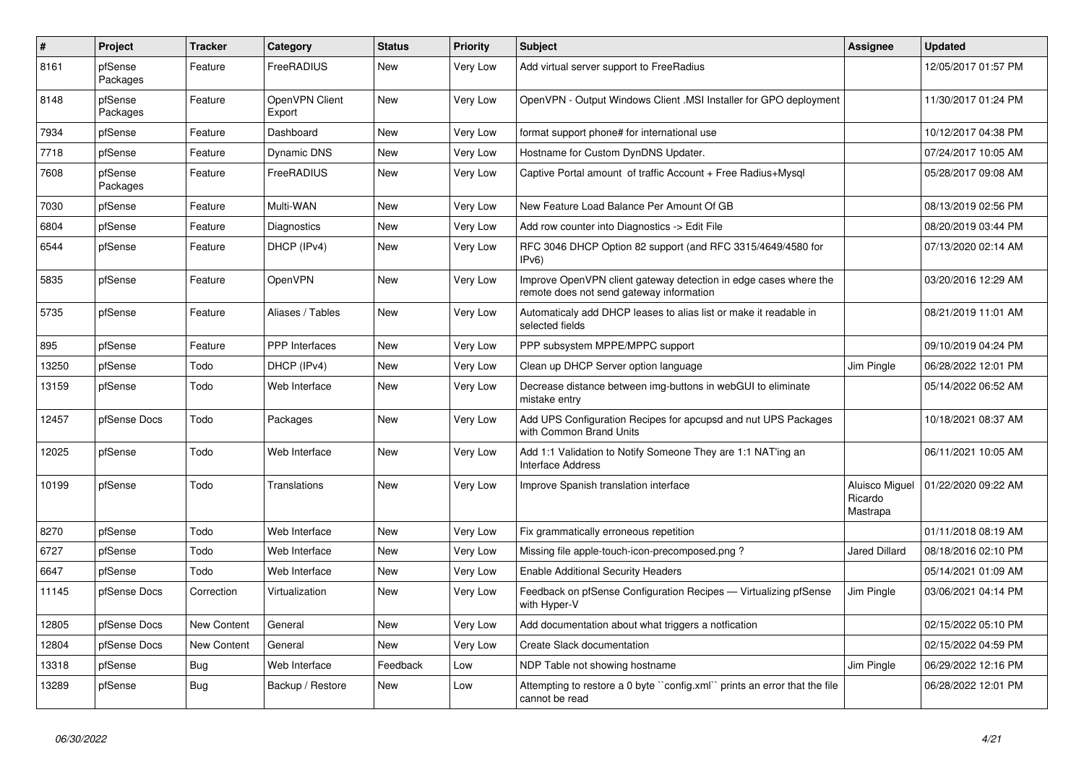| $\vert$ # | Project             | <b>Tracker</b>     | Category                 | <b>Status</b> | Priority | <b>Subject</b>                                                                                               | <b>Assignee</b>                       | <b>Updated</b>      |
|-----------|---------------------|--------------------|--------------------------|---------------|----------|--------------------------------------------------------------------------------------------------------------|---------------------------------------|---------------------|
| 8161      | pfSense<br>Packages | Feature            | <b>FreeRADIUS</b>        | New           | Very Low | Add virtual server support to FreeRadius                                                                     |                                       | 12/05/2017 01:57 PM |
| 8148      | pfSense<br>Packages | Feature            | OpenVPN Client<br>Export | New           | Very Low | OpenVPN - Output Windows Client .MSI Installer for GPO deployment                                            |                                       | 11/30/2017 01:24 PM |
| 7934      | pfSense             | Feature            | Dashboard                | <b>New</b>    | Very Low | format support phone# for international use                                                                  |                                       | 10/12/2017 04:38 PM |
| 7718      | pfSense             | Feature            | Dynamic DNS              | <b>New</b>    | Very Low | Hostname for Custom DynDNS Updater.                                                                          |                                       | 07/24/2017 10:05 AM |
| 7608      | pfSense<br>Packages | Feature            | <b>FreeRADIUS</b>        | <b>New</b>    | Very Low | Captive Portal amount of traffic Account + Free Radius+Mysgl                                                 |                                       | 05/28/2017 09:08 AM |
| 7030      | pfSense             | Feature            | Multi-WAN                | New           | Very Low | New Feature Load Balance Per Amount Of GB                                                                    |                                       | 08/13/2019 02:56 PM |
| 6804      | pfSense             | Feature            | Diagnostics              | New           | Very Low | Add row counter into Diagnostics -> Edit File                                                                |                                       | 08/20/2019 03:44 PM |
| 6544      | pfSense             | Feature            | DHCP (IPv4)              | New           | Very Low | RFC 3046 DHCP Option 82 support (and RFC 3315/4649/4580 for<br>IPv6)                                         |                                       | 07/13/2020 02:14 AM |
| 5835      | pfSense             | Feature            | OpenVPN                  | New           | Very Low | Improve OpenVPN client gateway detection in edge cases where the<br>remote does not send gateway information |                                       | 03/20/2016 12:29 AM |
| 5735      | pfSense             | Feature            | Aliases / Tables         | <b>New</b>    | Very Low | Automaticaly add DHCP leases to alias list or make it readable in<br>selected fields                         |                                       | 08/21/2019 11:01 AM |
| 895       | pfSense             | Feature            | PPP Interfaces           | New           | Very Low | PPP subsystem MPPE/MPPC support                                                                              |                                       | 09/10/2019 04:24 PM |
| 13250     | pfSense             | Todo               | DHCP (IPv4)              | New           | Very Low | Clean up DHCP Server option language                                                                         | Jim Pingle                            | 06/28/2022 12:01 PM |
| 13159     | pfSense             | Todo               | Web Interface            | New           | Very Low | Decrease distance between img-buttons in webGUI to eliminate<br>mistake entry                                |                                       | 05/14/2022 06:52 AM |
| 12457     | pfSense Docs        | Todo               | Packages                 | New           | Very Low | Add UPS Configuration Recipes for apcupsd and nut UPS Packages<br>with Common Brand Units                    |                                       | 10/18/2021 08:37 AM |
| 12025     | pfSense             | Todo               | Web Interface            | <b>New</b>    | Very Low | Add 1:1 Validation to Notify Someone They are 1:1 NAT'ing an<br><b>Interface Address</b>                     |                                       | 06/11/2021 10:05 AM |
| 10199     | pfSense             | Todo               | Translations             | <b>New</b>    | Very Low | Improve Spanish translation interface                                                                        | Aluisco Miguel<br>Ricardo<br>Mastrapa | 01/22/2020 09:22 AM |
| 8270      | pfSense             | Todo               | Web Interface            | New           | Very Low | Fix grammatically erroneous repetition                                                                       |                                       | 01/11/2018 08:19 AM |
| 6727      | pfSense             | Todo               | Web Interface            | New           | Very Low | Missing file apple-touch-icon-precomposed.png?                                                               | <b>Jared Dillard</b>                  | 08/18/2016 02:10 PM |
| 6647      | pfSense             | Todo               | Web Interface            | New           | Very Low | <b>Enable Additional Security Headers</b>                                                                    |                                       | 05/14/2021 01:09 AM |
| 11145     | pfSense Docs        | Correction         | Virtualization           | New           | Very Low | Feedback on pfSense Configuration Recipes - Virtualizing pfSense<br>with Hyper-V                             | Jim Pingle                            | 03/06/2021 04:14 PM |
| 12805     | pfSense Docs        | <b>New Content</b> | General                  | <b>New</b>    | Very Low | Add documentation about what triggers a notfication                                                          |                                       | 02/15/2022 05:10 PM |
| 12804     | pfSense Docs        | New Content        | General                  | <b>New</b>    | Very Low | Create Slack documentation                                                                                   |                                       | 02/15/2022 04:59 PM |
| 13318     | pfSense             | Bug                | Web Interface            | Feedback      | Low      | NDP Table not showing hostname                                                                               | Jim Pingle                            | 06/29/2022 12:16 PM |
| 13289     | pfSense             | Bug                | Backup / Restore         | New           | Low      | Attempting to restore a 0 byte "config.xml" prints an error that the file<br>cannot be read                  |                                       | 06/28/2022 12:01 PM |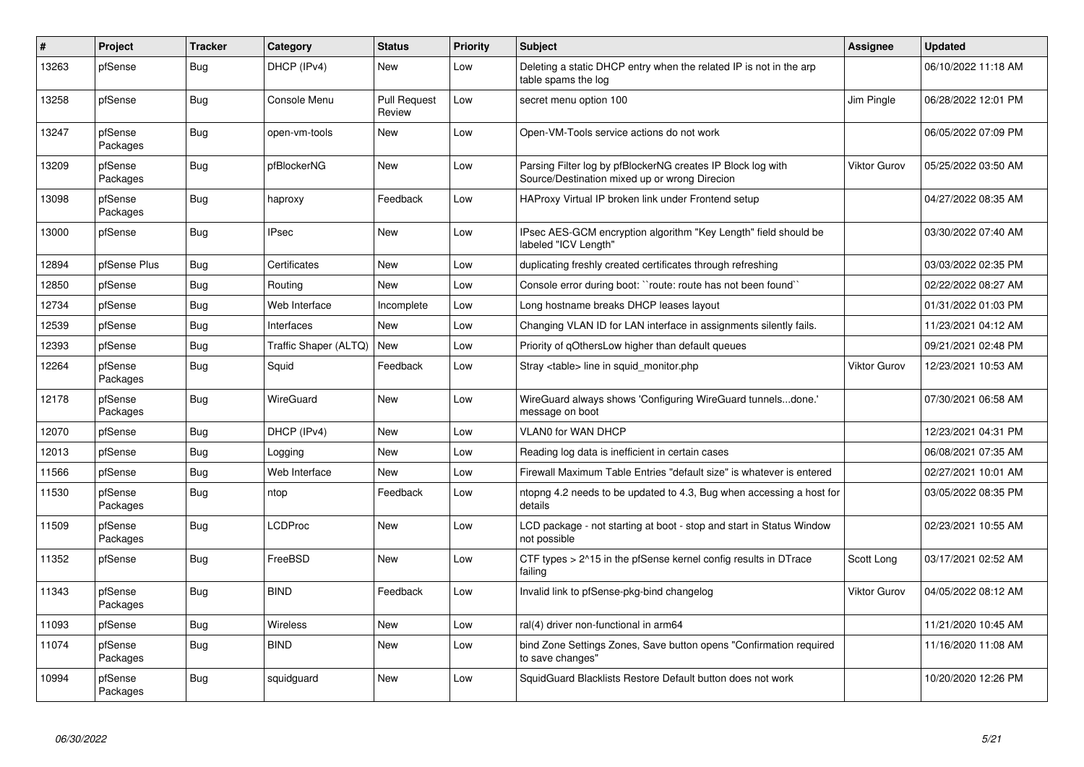| #     | Project             | <b>Tracker</b> | Category              | <b>Status</b>                 | <b>Priority</b> | <b>Subject</b>                                                                                               | Assignee            | <b>Updated</b>      |
|-------|---------------------|----------------|-----------------------|-------------------------------|-----------------|--------------------------------------------------------------------------------------------------------------|---------------------|---------------------|
| 13263 | pfSense             | <b>Bug</b>     | DHCP (IPv4)           | New                           | Low             | Deleting a static DHCP entry when the related IP is not in the arp<br>table spams the log                    |                     | 06/10/2022 11:18 AM |
| 13258 | pfSense             | Bug            | Console Menu          | <b>Pull Request</b><br>Review | Low             | secret menu option 100                                                                                       | Jim Pingle          | 06/28/2022 12:01 PM |
| 13247 | pfSense<br>Packages | <b>Bug</b>     | open-vm-tools         | New                           | Low             | Open-VM-Tools service actions do not work                                                                    |                     | 06/05/2022 07:09 PM |
| 13209 | pfSense<br>Packages | <b>Bug</b>     | pfBlockerNG           | <b>New</b>                    | Low             | Parsing Filter log by pfBlockerNG creates IP Block log with<br>Source/Destination mixed up or wrong Direcion | <b>Viktor Gurov</b> | 05/25/2022 03:50 AM |
| 13098 | pfSense<br>Packages | <b>Bug</b>     | haproxy               | Feedback                      | Low             | HAProxy Virtual IP broken link under Frontend setup                                                          |                     | 04/27/2022 08:35 AM |
| 13000 | pfSense             | <b>Bug</b>     | <b>IPsec</b>          | <b>New</b>                    | Low             | IPsec AES-GCM encryption algorithm "Key Length" field should be<br>labeled "ICV Length"                      |                     | 03/30/2022 07:40 AM |
| 12894 | pfSense Plus        | <b>Bug</b>     | Certificates          | <b>New</b>                    | Low             | duplicating freshly created certificates through refreshing                                                  |                     | 03/03/2022 02:35 PM |
| 12850 | pfSense             | <b>Bug</b>     | Routing               | New                           | Low             | Console error during boot: "route: route has not been found"                                                 |                     | 02/22/2022 08:27 AM |
| 12734 | pfSense             | <b>Bug</b>     | Web Interface         | Incomplete                    | Low             | Long hostname breaks DHCP leases layout                                                                      |                     | 01/31/2022 01:03 PM |
| 12539 | pfSense             | <b>Bug</b>     | Interfaces            | New                           | Low             | Changing VLAN ID for LAN interface in assignments silently fails.                                            |                     | 11/23/2021 04:12 AM |
| 12393 | pfSense             | Bug            | Traffic Shaper (ALTQ) | <b>New</b>                    | Low             | Priority of gOthersLow higher than default queues                                                            |                     | 09/21/2021 02:48 PM |
| 12264 | pfSense<br>Packages | Bug            | Squid                 | Feedback                      | Low             | Stray <table> line in squid monitor.php</table>                                                              | <b>Viktor Gurov</b> | 12/23/2021 10:53 AM |
| 12178 | pfSense<br>Packages | <b>Bug</b>     | <b>WireGuard</b>      | New                           | Low             | WireGuard always shows 'Configuring WireGuard tunnelsdone.'<br>message on boot                               |                     | 07/30/2021 06:58 AM |
| 12070 | pfSense             | <b>Bug</b>     | DHCP (IPv4)           | New                           | Low             | VLAN0 for WAN DHCP                                                                                           |                     | 12/23/2021 04:31 PM |
| 12013 | pfSense             | <b>Bug</b>     | Logging               | New                           | Low             | Reading log data is inefficient in certain cases                                                             |                     | 06/08/2021 07:35 AM |
| 11566 | pfSense             | <b>Bug</b>     | Web Interface         | New                           | Low             | Firewall Maximum Table Entries "default size" is whatever is entered                                         |                     | 02/27/2021 10:01 AM |
| 11530 | pfSense<br>Packages | <b>Bug</b>     | ntop                  | Feedback                      | Low             | ntopng 4.2 needs to be updated to 4.3, Bug when accessing a host for<br>details                              |                     | 03/05/2022 08:35 PM |
| 11509 | pfSense<br>Packages | Bug            | LCDProc               | New                           | Low             | LCD package - not starting at boot - stop and start in Status Window<br>not possible                         |                     | 02/23/2021 10:55 AM |
| 11352 | pfSense             | Bug            | FreeBSD               | New                           | Low             | CTF types $> 215$ in the pfSense kernel config results in DTrace<br>failing                                  | Scott Long          | 03/17/2021 02:52 AM |
| 11343 | pfSense<br>Packages | Bug            | <b>BIND</b>           | Feedback                      | Low             | Invalid link to pfSense-pkg-bind changelog                                                                   | Viktor Gurov        | 04/05/2022 08:12 AM |
| 11093 | pfSense             | <b>Bug</b>     | <b>Wireless</b>       | <b>New</b>                    | Low             | ral(4) driver non-functional in arm64                                                                        |                     | 11/21/2020 10:45 AM |
| 11074 | pfSense<br>Packages | <b>Bug</b>     | <b>BIND</b>           | New                           | Low             | bind Zone Settings Zones, Save button opens "Confirmation required<br>to save changes"                       |                     | 11/16/2020 11:08 AM |
| 10994 | pfSense<br>Packages | <b>Bug</b>     | squidguard            | <b>New</b>                    | Low             | SquidGuard Blacklists Restore Default button does not work                                                   |                     | 10/20/2020 12:26 PM |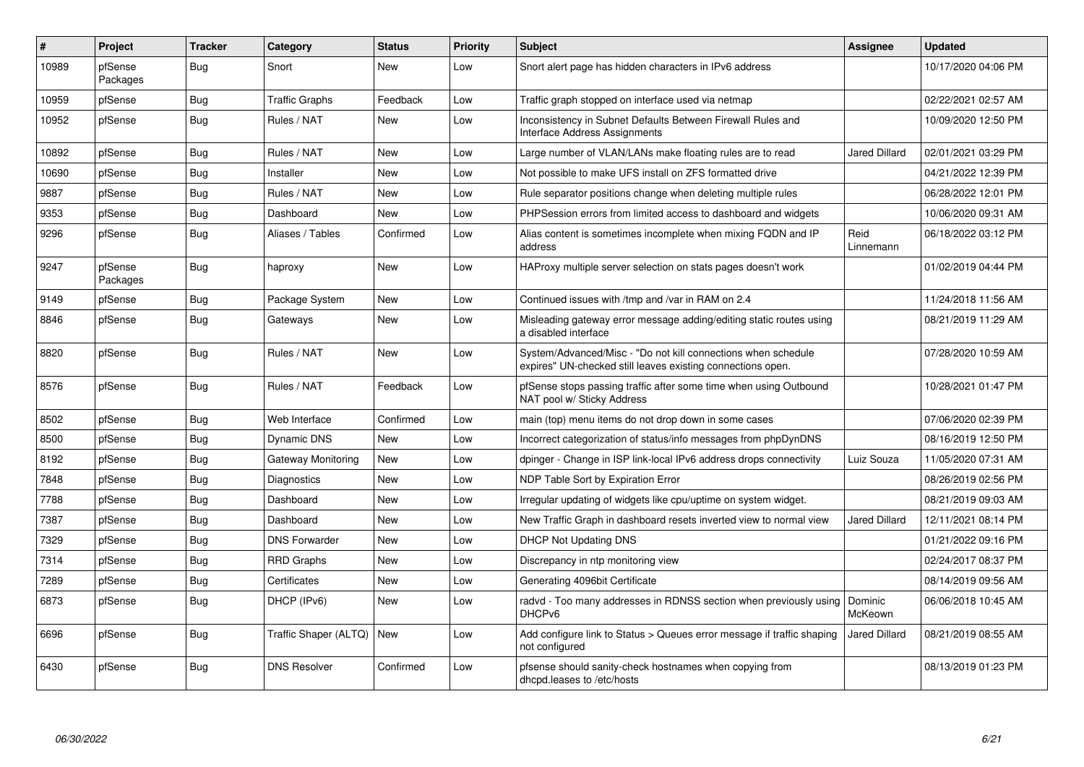| #     | Project             | <b>Tracker</b> | Category              | <b>Status</b> | <b>Priority</b> | <b>Subject</b>                                                                                                               | Assignee             | <b>Updated</b>      |
|-------|---------------------|----------------|-----------------------|---------------|-----------------|------------------------------------------------------------------------------------------------------------------------------|----------------------|---------------------|
| 10989 | pfSense<br>Packages | Bug            | Snort                 | <b>New</b>    | Low             | Snort alert page has hidden characters in IPv6 address                                                                       |                      | 10/17/2020 04:06 PM |
| 10959 | pfSense             | <b>Bug</b>     | <b>Traffic Graphs</b> | Feedback      | Low             | Traffic graph stopped on interface used via netmap                                                                           |                      | 02/22/2021 02:57 AM |
| 10952 | pfSense             | Bug            | Rules / NAT           | <b>New</b>    | Low             | Inconsistency in Subnet Defaults Between Firewall Rules and<br>Interface Address Assignments                                 |                      | 10/09/2020 12:50 PM |
| 10892 | pfSense             | Bug            | Rules / NAT           | New           | Low             | Large number of VLAN/LANs make floating rules are to read                                                                    | Jared Dillard        | 02/01/2021 03:29 PM |
| 10690 | pfSense             | <b>Bug</b>     | Installer             | <b>New</b>    | Low             | Not possible to make UFS install on ZFS formatted drive                                                                      |                      | 04/21/2022 12:39 PM |
| 9887  | pfSense             | <b>Bug</b>     | Rules / NAT           | <b>New</b>    | Low             | Rule separator positions change when deleting multiple rules                                                                 |                      | 06/28/2022 12:01 PM |
| 9353  | pfSense             | Bug            | Dashboard             | <b>New</b>    | Low             | PHPSession errors from limited access to dashboard and widgets                                                               |                      | 10/06/2020 09:31 AM |
| 9296  | pfSense             | Bug            | Aliases / Tables      | Confirmed     | Low             | Alias content is sometimes incomplete when mixing FQDN and IP<br>address                                                     | Reid<br>Linnemann    | 06/18/2022 03:12 PM |
| 9247  | pfSense<br>Packages | Bug            | haproxy               | New           | Low             | HAProxy multiple server selection on stats pages doesn't work                                                                |                      | 01/02/2019 04:44 PM |
| 9149  | pfSense             | Bug            | Package System        | New           | Low             | Continued issues with /tmp and /var in RAM on 2.4                                                                            |                      | 11/24/2018 11:56 AM |
| 8846  | pfSense             | Bug            | Gateways              | <b>New</b>    | Low             | Misleading gateway error message adding/editing static routes using<br>a disabled interface                                  |                      | 08/21/2019 11:29 AM |
| 8820  | pfSense             | Bug            | Rules / NAT           | <b>New</b>    | Low             | System/Advanced/Misc - "Do not kill connections when schedule<br>expires" UN-checked still leaves existing connections open. |                      | 07/28/2020 10:59 AM |
| 8576  | pfSense             | Bug            | Rules / NAT           | Feedback      | Low             | pfSense stops passing traffic after some time when using Outbound<br>NAT pool w/ Sticky Address                              |                      | 10/28/2021 01:47 PM |
| 8502  | pfSense             | Bug            | Web Interface         | Confirmed     | Low             | main (top) menu items do not drop down in some cases                                                                         |                      | 07/06/2020 02:39 PM |
| 8500  | pfSense             | <b>Bug</b>     | <b>Dynamic DNS</b>    | <b>New</b>    | Low             | Incorrect categorization of status/info messages from phpDynDNS                                                              |                      | 08/16/2019 12:50 PM |
| 8192  | pfSense             | Bug            | Gateway Monitoring    | New           | Low             | dpinger - Change in ISP link-local IPv6 address drops connectivity                                                           | Luiz Souza           | 11/05/2020 07:31 AM |
| 7848  | pfSense             | Bug            | Diagnostics           | New           | Low             | NDP Table Sort by Expiration Error                                                                                           |                      | 08/26/2019 02:56 PM |
| 7788  | pfSense             | Bug            | Dashboard             | <b>New</b>    | Low             | Irregular updating of widgets like cpu/uptime on system widget.                                                              |                      | 08/21/2019 09:03 AM |
| 7387  | pfSense             | Bug            | Dashboard             | <b>New</b>    | Low             | New Traffic Graph in dashboard resets inverted view to normal view                                                           | <b>Jared Dillard</b> | 12/11/2021 08:14 PM |
| 7329  | pfSense             | Bug            | <b>DNS Forwarder</b>  | New           | Low             | <b>DHCP Not Updating DNS</b>                                                                                                 |                      | 01/21/2022 09:16 PM |
| 7314  | pfSense             | Bug            | <b>RRD Graphs</b>     | New           | Low             | Discrepancy in ntp monitoring view                                                                                           |                      | 02/24/2017 08:37 PM |
| 7289  | pfSense             | Bug            | Certificates          | New           | Low             | Generating 4096bit Certificate                                                                                               |                      | 08/14/2019 09:56 AM |
| 6873  | pfSense             | Bug            | DHCP (IPv6)           | New           | Low             | radvd - Too many addresses in RDNSS section when previously using<br>DHCP <sub>v6</sub>                                      | Dominic<br>McKeown   | 06/06/2018 10:45 AM |
| 6696  | pfSense             | Bug            | Traffic Shaper (ALTQ) | New           | Low             | Add configure link to Status > Queues error message if traffic shaping<br>not configured                                     | Jared Dillard        | 08/21/2019 08:55 AM |
| 6430  | pfSense             | Bug            | <b>DNS Resolver</b>   | Confirmed     | Low             | pfsense should sanity-check hostnames when copying from<br>dhcpd.leases to /etc/hosts                                        |                      | 08/13/2019 01:23 PM |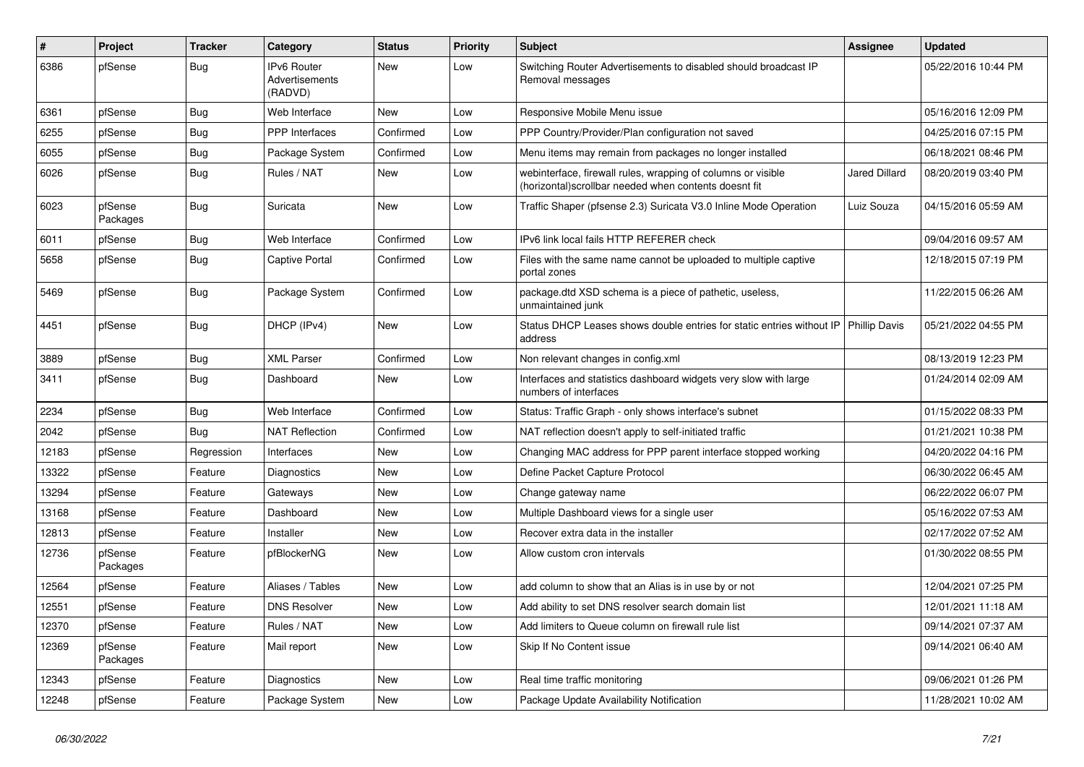| $\pmb{\#}$ | Project             | <b>Tracker</b> | Category                                        | <b>Status</b> | <b>Priority</b> | <b>Subject</b>                                                                                                         | <b>Assignee</b>      | <b>Updated</b>      |
|------------|---------------------|----------------|-------------------------------------------------|---------------|-----------------|------------------------------------------------------------------------------------------------------------------------|----------------------|---------------------|
| 6386       | pfSense             | <b>Bug</b>     | <b>IPv6 Router</b><br>Advertisements<br>(RADVD) | <b>New</b>    | Low             | Switching Router Advertisements to disabled should broadcast IP<br>Removal messages                                    |                      | 05/22/2016 10:44 PM |
| 6361       | pfSense             | <b>Bug</b>     | Web Interface                                   | <b>New</b>    | Low             | Responsive Mobile Menu issue                                                                                           |                      | 05/16/2016 12:09 PM |
| 6255       | pfSense             | Bug            | <b>PPP</b> Interfaces                           | Confirmed     | Low             | PPP Country/Provider/Plan configuration not saved                                                                      |                      | 04/25/2016 07:15 PM |
| 6055       | pfSense             | Bug            | Package System                                  | Confirmed     | Low             | Menu items may remain from packages no longer installed                                                                |                      | 06/18/2021 08:46 PM |
| 6026       | pfSense             | <b>Bug</b>     | Rules / NAT                                     | New           | Low             | webinterface, firewall rules, wrapping of columns or visible<br>(horizontal) scrollbar needed when contents doesnt fit | <b>Jared Dillard</b> | 08/20/2019 03:40 PM |
| 6023       | pfSense<br>Packages | <b>Bug</b>     | Suricata                                        | New           | Low             | Traffic Shaper (pfsense 2.3) Suricata V3.0 Inline Mode Operation                                                       | Luiz Souza           | 04/15/2016 05:59 AM |
| 6011       | pfSense             | <b>Bug</b>     | Web Interface                                   | Confirmed     | Low             | IPv6 link local fails HTTP REFERER check                                                                               |                      | 09/04/2016 09:57 AM |
| 5658       | pfSense             | Bug            | <b>Captive Portal</b>                           | Confirmed     | Low             | Files with the same name cannot be uploaded to multiple captive<br>portal zones                                        |                      | 12/18/2015 07:19 PM |
| 5469       | pfSense             | Bug            | Package System                                  | Confirmed     | Low             | package.dtd XSD schema is a piece of pathetic, useless,<br>unmaintained junk                                           |                      | 11/22/2015 06:26 AM |
| 4451       | pfSense             | Bug            | DHCP (IPv4)                                     | New           | Low             | Status DHCP Leases shows double entries for static entries without IP<br>address                                       | <b>Phillip Davis</b> | 05/21/2022 04:55 PM |
| 3889       | pfSense             | Bug            | <b>XML Parser</b>                               | Confirmed     | Low             | Non relevant changes in config.xml                                                                                     |                      | 08/13/2019 12:23 PM |
| 3411       | pfSense             | <b>Bug</b>     | Dashboard                                       | New           | Low             | Interfaces and statistics dashboard widgets very slow with large<br>numbers of interfaces                              |                      | 01/24/2014 02:09 AM |
| 2234       | pfSense             | <b>Bug</b>     | Web Interface                                   | Confirmed     | Low             | Status: Traffic Graph - only shows interface's subnet                                                                  |                      | 01/15/2022 08:33 PM |
| 2042       | pfSense             | Bug            | <b>NAT Reflection</b>                           | Confirmed     | Low             | NAT reflection doesn't apply to self-initiated traffic                                                                 |                      | 01/21/2021 10:38 PM |
| 12183      | pfSense             | Regression     | Interfaces                                      | New           | Low             | Changing MAC address for PPP parent interface stopped working                                                          |                      | 04/20/2022 04:16 PM |
| 13322      | pfSense             | Feature        | Diagnostics                                     | New           | Low             | Define Packet Capture Protocol                                                                                         |                      | 06/30/2022 06:45 AM |
| 13294      | pfSense             | Feature        | Gateways                                        | New           | Low             | Change gateway name                                                                                                    |                      | 06/22/2022 06:07 PM |
| 13168      | pfSense             | Feature        | Dashboard                                       | New           | Low             | Multiple Dashboard views for a single user                                                                             |                      | 05/16/2022 07:53 AM |
| 12813      | pfSense             | Feature        | Installer                                       | New           | Low             | Recover extra data in the installer                                                                                    |                      | 02/17/2022 07:52 AM |
| 12736      | pfSense<br>Packages | Feature        | pfBlockerNG                                     | New           | Low             | Allow custom cron intervals                                                                                            |                      | 01/30/2022 08:55 PM |
| 12564      | pfSense             | Feature        | Aliases / Tables                                | New           | Low             | add column to show that an Alias is in use by or not                                                                   |                      | 12/04/2021 07:25 PM |
| 12551      | pfSense             | Feature        | <b>DNS Resolver</b>                             | New           | Low             | Add ability to set DNS resolver search domain list                                                                     |                      | 12/01/2021 11:18 AM |
| 12370      | pfSense             | Feature        | Rules / NAT                                     | New           | Low             | Add limiters to Queue column on firewall rule list                                                                     |                      | 09/14/2021 07:37 AM |
| 12369      | pfSense<br>Packages | Feature        | Mail report                                     | New           | Low             | Skip If No Content issue                                                                                               |                      | 09/14/2021 06:40 AM |
| 12343      | pfSense             | Feature        | Diagnostics                                     | New           | Low             | Real time traffic monitoring                                                                                           |                      | 09/06/2021 01:26 PM |
| 12248      | pfSense             | Feature        | Package System                                  | New           | Low             | Package Update Availability Notification                                                                               |                      | 11/28/2021 10:02 AM |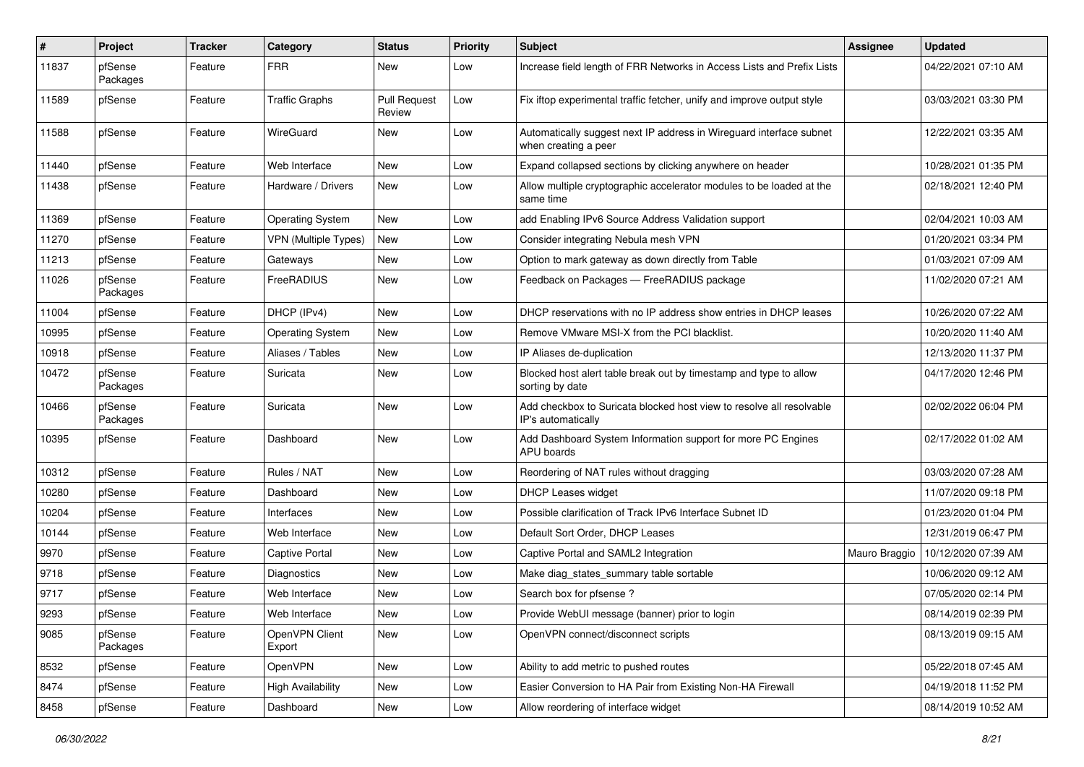| #     | Project             | <b>Tracker</b> | Category                    | <b>Status</b>                 | <b>Priority</b> | <b>Subject</b>                                                                              | Assignee      | <b>Updated</b>      |
|-------|---------------------|----------------|-----------------------------|-------------------------------|-----------------|---------------------------------------------------------------------------------------------|---------------|---------------------|
| 11837 | pfSense<br>Packages | Feature        | <b>FRR</b>                  | New                           | Low             | Increase field length of FRR Networks in Access Lists and Prefix Lists                      |               | 04/22/2021 07:10 AM |
| 11589 | pfSense             | Feature        | <b>Traffic Graphs</b>       | <b>Pull Request</b><br>Review | Low             | Fix iftop experimental traffic fetcher, unify and improve output style                      |               | 03/03/2021 03:30 PM |
| 11588 | pfSense             | Feature        | WireGuard                   | New                           | Low             | Automatically suggest next IP address in Wireguard interface subnet<br>when creating a peer |               | 12/22/2021 03:35 AM |
| 11440 | pfSense             | Feature        | Web Interface               | New                           | Low             | Expand collapsed sections by clicking anywhere on header                                    |               | 10/28/2021 01:35 PM |
| 11438 | pfSense             | Feature        | Hardware / Drivers          | New                           | Low             | Allow multiple cryptographic accelerator modules to be loaded at the<br>same time           |               | 02/18/2021 12:40 PM |
| 11369 | pfSense             | Feature        | <b>Operating System</b>     | New                           | Low             | add Enabling IPv6 Source Address Validation support                                         |               | 02/04/2021 10:03 AM |
| 11270 | pfSense             | Feature        | <b>VPN (Multiple Types)</b> | New                           | Low             | Consider integrating Nebula mesh VPN                                                        |               | 01/20/2021 03:34 PM |
| 11213 | pfSense             | Feature        | Gateways                    | New                           | Low             | Option to mark gateway as down directly from Table                                          |               | 01/03/2021 07:09 AM |
| 11026 | pfSense<br>Packages | Feature        | FreeRADIUS                  | New                           | Low             | Feedback on Packages - FreeRADIUS package                                                   |               | 11/02/2020 07:21 AM |
| 11004 | pfSense             | Feature        | DHCP (IPv4)                 | New                           | Low             | DHCP reservations with no IP address show entries in DHCP leases                            |               | 10/26/2020 07:22 AM |
| 10995 | pfSense             | Feature        | <b>Operating System</b>     | New                           | Low             | Remove VMware MSI-X from the PCI blacklist.                                                 |               | 10/20/2020 11:40 AM |
| 10918 | pfSense             | Feature        | Aliases / Tables            | New                           | Low             | IP Aliases de-duplication                                                                   |               | 12/13/2020 11:37 PM |
| 10472 | pfSense<br>Packages | Feature        | Suricata                    | <b>New</b>                    | Low             | Blocked host alert table break out by timestamp and type to allow<br>sorting by date        |               | 04/17/2020 12:46 PM |
| 10466 | pfSense<br>Packages | Feature        | Suricata                    | New                           | Low             | Add checkbox to Suricata blocked host view to resolve all resolvable<br>IP's automatically  |               | 02/02/2022 06:04 PM |
| 10395 | pfSense             | Feature        | Dashboard                   | New                           | Low             | Add Dashboard System Information support for more PC Engines<br>APU boards                  |               | 02/17/2022 01:02 AM |
| 10312 | pfSense             | Feature        | Rules / NAT                 | <b>New</b>                    | Low             | Reordering of NAT rules without dragging                                                    |               | 03/03/2020 07:28 AM |
| 10280 | pfSense             | Feature        | Dashboard                   | New                           | Low             | DHCP Leases widget                                                                          |               | 11/07/2020 09:18 PM |
| 10204 | pfSense             | Feature        | Interfaces                  | New                           | Low             | Possible clarification of Track IPv6 Interface Subnet ID                                    |               | 01/23/2020 01:04 PM |
| 10144 | pfSense             | Feature        | Web Interface               | New                           | Low             | Default Sort Order, DHCP Leases                                                             |               | 12/31/2019 06:47 PM |
| 9970  | pfSense             | Feature        | <b>Captive Portal</b>       | New                           | Low             | Captive Portal and SAML2 Integration                                                        | Mauro Braggio | 10/12/2020 07:39 AM |
| 9718  | pfSense             | Feature        | Diagnostics                 | New                           | Low             | Make diag_states_summary table sortable                                                     |               | 10/06/2020 09:12 AM |
| 9717  | pfSense             | Feature        | Web Interface               | New                           | Low             | Search box for pfsense?                                                                     |               | 07/05/2020 02:14 PM |
| 9293  | pfSense             | Feature        | Web Interface               | New                           | Low             | Provide WebUI message (banner) prior to login                                               |               | 08/14/2019 02:39 PM |
| 9085  | pfSense<br>Packages | Feature        | OpenVPN Client<br>Export    | New                           | Low             | OpenVPN connect/disconnect scripts                                                          |               | 08/13/2019 09:15 AM |
| 8532  | pfSense             | Feature        | OpenVPN                     | New                           | Low             | Ability to add metric to pushed routes                                                      |               | 05/22/2018 07:45 AM |
| 8474  | pfSense             | Feature        | <b>High Availability</b>    | New                           | Low             | Easier Conversion to HA Pair from Existing Non-HA Firewall                                  |               | 04/19/2018 11:52 PM |
| 8458  | pfSense             | Feature        | Dashboard                   | New                           | Low             | Allow reordering of interface widget                                                        |               | 08/14/2019 10:52 AM |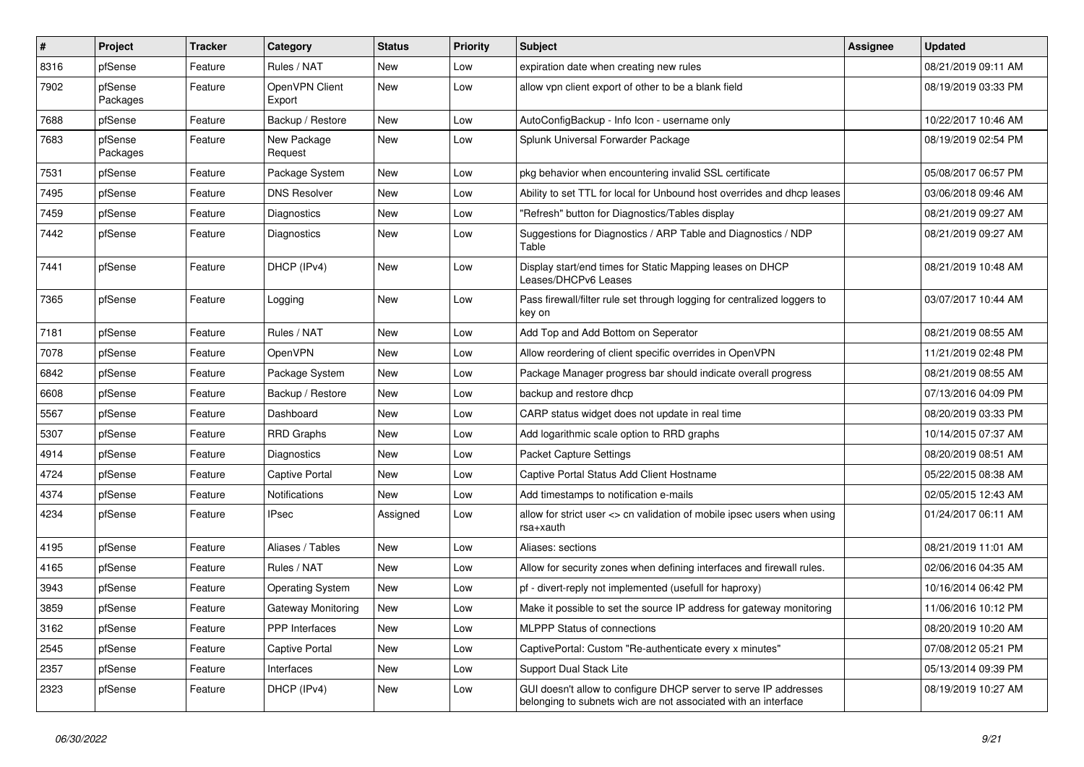| #    | Project             | <b>Tracker</b> | Category                 | <b>Status</b> | <b>Priority</b> | <b>Subject</b>                                                                                                                     | Assignee | <b>Updated</b>      |
|------|---------------------|----------------|--------------------------|---------------|-----------------|------------------------------------------------------------------------------------------------------------------------------------|----------|---------------------|
| 8316 | pfSense             | Feature        | Rules / NAT              | New           | Low             | expiration date when creating new rules                                                                                            |          | 08/21/2019 09:11 AM |
| 7902 | pfSense<br>Packages | Feature        | OpenVPN Client<br>Export | New           | Low             | allow vpn client export of other to be a blank field                                                                               |          | 08/19/2019 03:33 PM |
| 7688 | pfSense             | Feature        | Backup / Restore         | New           | Low             | AutoConfigBackup - Info Icon - username only                                                                                       |          | 10/22/2017 10:46 AM |
| 7683 | pfSense<br>Packages | Feature        | New Package<br>Request   | New           | Low             | Splunk Universal Forwarder Package                                                                                                 |          | 08/19/2019 02:54 PM |
| 7531 | pfSense             | Feature        | Package System           | New           | Low             | pkg behavior when encountering invalid SSL certificate                                                                             |          | 05/08/2017 06:57 PM |
| 7495 | pfSense             | Feature        | <b>DNS Resolver</b>      | New           | Low             | Ability to set TTL for local for Unbound host overrides and dhcp leases                                                            |          | 03/06/2018 09:46 AM |
| 7459 | pfSense             | Feature        | Diagnostics              | New           | Low             | "Refresh" button for Diagnostics/Tables display                                                                                    |          | 08/21/2019 09:27 AM |
| 7442 | pfSense             | Feature        | <b>Diagnostics</b>       | New           | Low             | Suggestions for Diagnostics / ARP Table and Diagnostics / NDP<br>Table                                                             |          | 08/21/2019 09:27 AM |
| 7441 | pfSense             | Feature        | DHCP (IPv4)              | New           | Low             | Display start/end times for Static Mapping leases on DHCP<br>Leases/DHCPv6 Leases                                                  |          | 08/21/2019 10:48 AM |
| 7365 | pfSense             | Feature        | Logging                  | New           | Low             | Pass firewall/filter rule set through logging for centralized loggers to<br>key on                                                 |          | 03/07/2017 10:44 AM |
| 7181 | pfSense             | Feature        | Rules / NAT              | New           | Low             | Add Top and Add Bottom on Seperator                                                                                                |          | 08/21/2019 08:55 AM |
| 7078 | pfSense             | Feature        | OpenVPN                  | New           | Low             | Allow reordering of client specific overrides in OpenVPN                                                                           |          | 11/21/2019 02:48 PM |
| 6842 | pfSense             | Feature        | Package System           | New           | Low             | Package Manager progress bar should indicate overall progress                                                                      |          | 08/21/2019 08:55 AM |
| 6608 | pfSense             | Feature        | Backup / Restore         | New           | Low             | backup and restore dhcp                                                                                                            |          | 07/13/2016 04:09 PM |
| 5567 | pfSense             | Feature        | Dashboard                | New           | Low             | CARP status widget does not update in real time                                                                                    |          | 08/20/2019 03:33 PM |
| 5307 | pfSense             | Feature        | <b>RRD Graphs</b>        | New           | Low             | Add logarithmic scale option to RRD graphs                                                                                         |          | 10/14/2015 07:37 AM |
| 4914 | pfSense             | Feature        | Diagnostics              | New           | Low             | <b>Packet Capture Settings</b>                                                                                                     |          | 08/20/2019 08:51 AM |
| 4724 | pfSense             | Feature        | <b>Captive Portal</b>    | New           | Low             | Captive Portal Status Add Client Hostname                                                                                          |          | 05/22/2015 08:38 AM |
| 4374 | pfSense             | Feature        | <b>Notifications</b>     | New           | Low             | Add timestamps to notification e-mails                                                                                             |          | 02/05/2015 12:43 AM |
| 4234 | pfSense             | Feature        | <b>IPsec</b>             | Assigned      | Low             | allow for strict user <> cn validation of mobile ipsec users when using<br>rsa+xauth                                               |          | 01/24/2017 06:11 AM |
| 4195 | pfSense             | Feature        | Aliases / Tables         | New           | Low             | Aliases: sections                                                                                                                  |          | 08/21/2019 11:01 AM |
| 4165 | pfSense             | Feature        | Rules / NAT              | <b>New</b>    | Low             | Allow for security zones when defining interfaces and firewall rules.                                                              |          | 02/06/2016 04:35 AM |
| 3943 | pfSense             | Feature        | <b>Operating System</b>  | New           | Low             | pf - divert-reply not implemented (usefull for haproxy)                                                                            |          | 10/16/2014 06:42 PM |
| 3859 | pfSense             | Feature        | Gateway Monitoring       | New           | Low             | Make it possible to set the source IP address for gateway monitoring                                                               |          | 11/06/2016 10:12 PM |
| 3162 | pfSense             | Feature        | PPP Interfaces           | New           | Low             | <b>MLPPP Status of connections</b>                                                                                                 |          | 08/20/2019 10:20 AM |
| 2545 | pfSense             | Feature        | <b>Captive Portal</b>    | New           | Low             | CaptivePortal: Custom "Re-authenticate every x minutes"                                                                            |          | 07/08/2012 05:21 PM |
| 2357 | pfSense             | Feature        | Interfaces               | New           | Low             | Support Dual Stack Lite                                                                                                            |          | 05/13/2014 09:39 PM |
| 2323 | pfSense             | Feature        | DHCP (IPv4)              | New           | Low             | GUI doesn't allow to configure DHCP server to serve IP addresses<br>belonging to subnets wich are not associated with an interface |          | 08/19/2019 10:27 AM |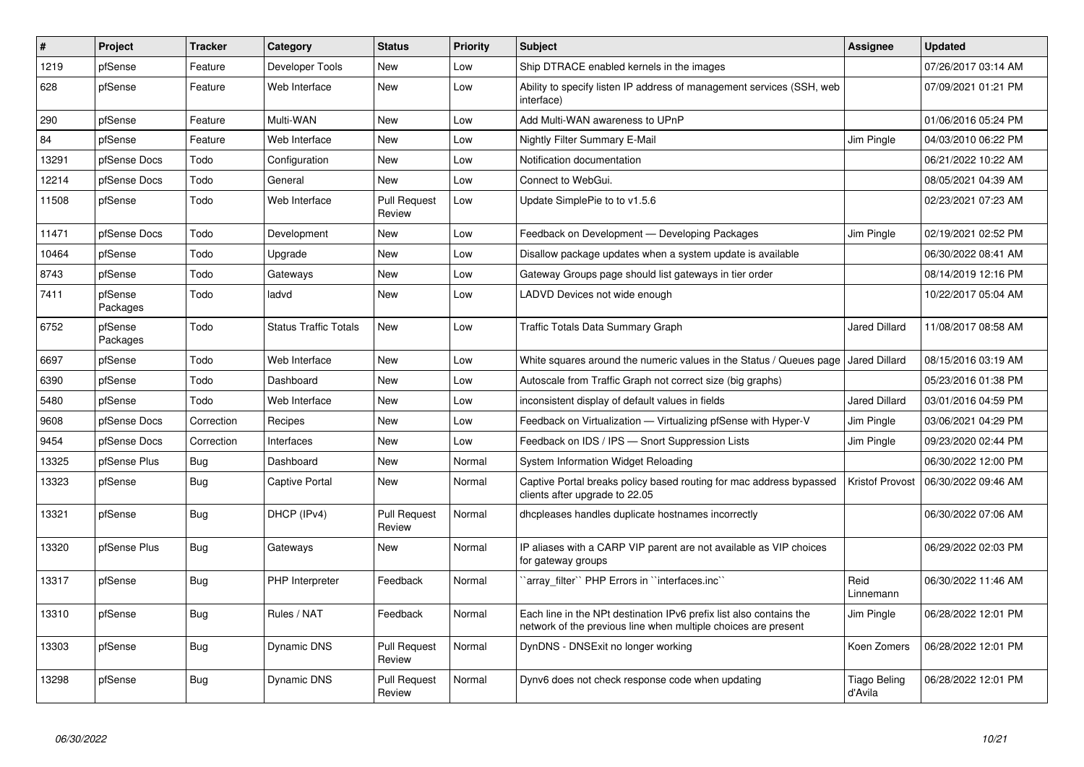| #     | <b>Project</b>      | <b>Tracker</b> | Category                     | <b>Status</b>                 | Priority | <b>Subject</b>                                                                                                                        | Assignee                       | <b>Updated</b>      |
|-------|---------------------|----------------|------------------------------|-------------------------------|----------|---------------------------------------------------------------------------------------------------------------------------------------|--------------------------------|---------------------|
| 1219  | pfSense             | Feature        | Developer Tools              | New                           | Low      | Ship DTRACE enabled kernels in the images                                                                                             |                                | 07/26/2017 03:14 AM |
| 628   | pfSense             | Feature        | Web Interface                | New                           | Low      | Ability to specify listen IP address of management services (SSH, web<br>interface)                                                   |                                | 07/09/2021 01:21 PM |
| 290   | pfSense             | Feature        | Multi-WAN                    | <b>New</b>                    | Low      | Add Multi-WAN awareness to UPnP                                                                                                       |                                | 01/06/2016 05:24 PM |
| 84    | pfSense             | Feature        | Web Interface                | <b>New</b>                    | Low      | Nightly Filter Summary E-Mail                                                                                                         | Jim Pingle                     | 04/03/2010 06:22 PM |
| 13291 | pfSense Docs        | Todo           | Configuration                | New                           | Low      | Notification documentation                                                                                                            |                                | 06/21/2022 10:22 AM |
| 12214 | pfSense Docs        | Todo           | General                      | <b>New</b>                    | Low      | Connect to WebGui.                                                                                                                    |                                | 08/05/2021 04:39 AM |
| 11508 | pfSense             | Todo           | Web Interface                | <b>Pull Request</b><br>Review | Low      | Update SimplePie to to v1.5.6                                                                                                         |                                | 02/23/2021 07:23 AM |
| 11471 | pfSense Docs        | Todo           | Development                  | New                           | Low      | Feedback on Development - Developing Packages                                                                                         | Jim Pingle                     | 02/19/2021 02:52 PM |
| 10464 | pfSense             | Todo           | Upgrade                      | New                           | Low      | Disallow package updates when a system update is available                                                                            |                                | 06/30/2022 08:41 AM |
| 8743  | pfSense             | Todo           | Gateways                     | New                           | Low      | Gateway Groups page should list gateways in tier order                                                                                |                                | 08/14/2019 12:16 PM |
| 7411  | pfSense<br>Packages | Todo           | ladvd                        | New                           | Low      | LADVD Devices not wide enough                                                                                                         |                                | 10/22/2017 05:04 AM |
| 6752  | pfSense<br>Packages | Todo           | <b>Status Traffic Totals</b> | New                           | Low      | <b>Traffic Totals Data Summary Graph</b>                                                                                              | <b>Jared Dillard</b>           | 11/08/2017 08:58 AM |
| 6697  | pfSense             | Todo           | Web Interface                | New                           | Low      | White squares around the numeric values in the Status / Queues page                                                                   | <b>Jared Dillard</b>           | 08/15/2016 03:19 AM |
| 6390  | pfSense             | Todo           | Dashboard                    | New                           | Low      | Autoscale from Traffic Graph not correct size (big graphs)                                                                            |                                | 05/23/2016 01:38 PM |
| 5480  | pfSense             | Todo           | Web Interface                | <b>New</b>                    | Low      | inconsistent display of default values in fields                                                                                      | <b>Jared Dillard</b>           | 03/01/2016 04:59 PM |
| 9608  | pfSense Docs        | Correction     | Recipes                      | New                           | Low      | Feedback on Virtualization — Virtualizing pfSense with Hyper-V                                                                        | Jim Pingle                     | 03/06/2021 04:29 PM |
| 9454  | pfSense Docs        | Correction     | Interfaces                   | <b>New</b>                    | Low      | Feedback on IDS / IPS - Snort Suppression Lists                                                                                       | Jim Pingle                     | 09/23/2020 02:44 PM |
| 13325 | pfSense Plus        | <b>Bug</b>     | Dashboard                    | New                           | Normal   | System Information Widget Reloading                                                                                                   |                                | 06/30/2022 12:00 PM |
| 13323 | pfSense             | <b>Bug</b>     | <b>Captive Portal</b>        | New                           | Normal   | Captive Portal breaks policy based routing for mac address bypassed<br>clients after upgrade to 22.05                                 | Kristof Provost                | 06/30/2022 09:46 AM |
| 13321 | pfSense             | Bug            | DHCP (IPv4)                  | <b>Pull Request</b><br>Review | Normal   | dhcpleases handles duplicate hostnames incorrectly                                                                                    |                                | 06/30/2022 07:06 AM |
| 13320 | pfSense Plus        | Bug            | Gateways                     | New                           | Normal   | IP aliases with a CARP VIP parent are not available as VIP choices<br>for gateway groups                                              |                                | 06/29/2022 02:03 PM |
| 13317 | pfSense             | Bug            | <b>PHP</b> Interpreter       | Feedback                      | Normal   | `array filter`` PHP Errors in ``interfaces.inc``                                                                                      | Reid<br>Linnemann              | 06/30/2022 11:46 AM |
| 13310 | pfSense             | <b>Bug</b>     | Rules / NAT                  | Feedback                      | Normal   | Each line in the NPt destination IPv6 prefix list also contains the<br>network of the previous line when multiple choices are present | Jim Pingle                     | 06/28/2022 12:01 PM |
| 13303 | pfSense             | <b>Bug</b>     | Dynamic DNS                  | <b>Pull Request</b><br>Review | Normal   | DynDNS - DNSExit no longer working                                                                                                    | Koen Zomers                    | 06/28/2022 12:01 PM |
| 13298 | pfSense             | <b>Bug</b>     | Dynamic DNS                  | <b>Pull Request</b><br>Review | Normal   | Dynv6 does not check response code when updating                                                                                      | <b>Tiago Beling</b><br>d'Avila | 06/28/2022 12:01 PM |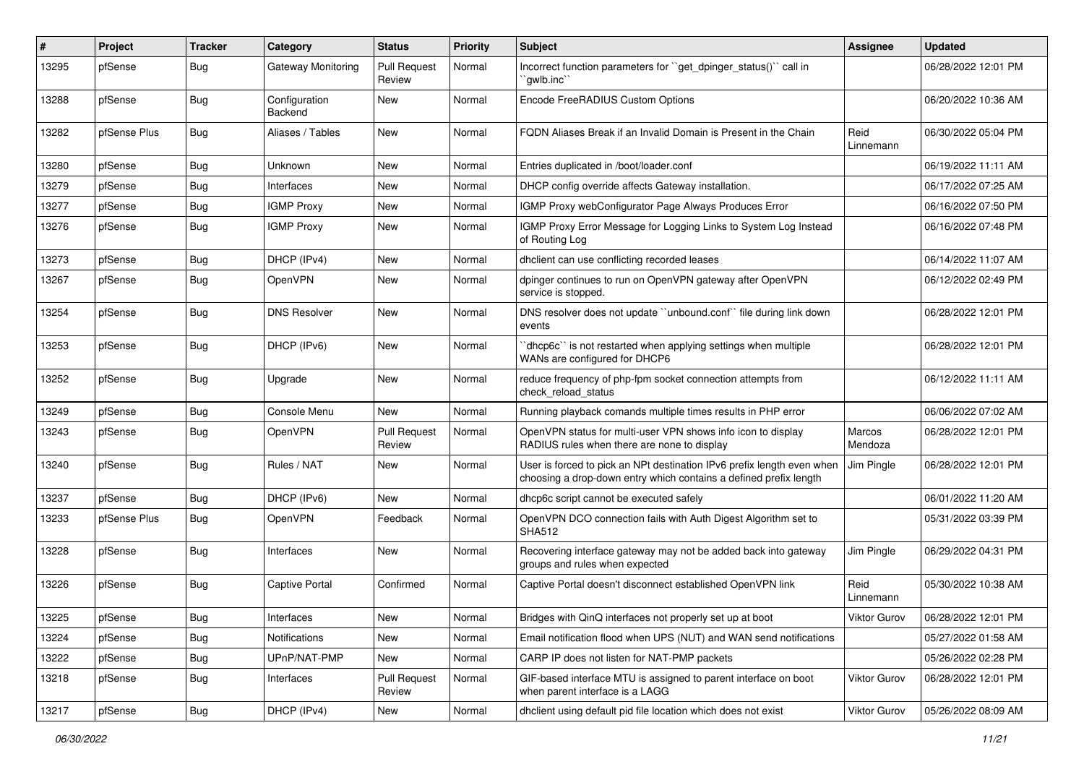| ∦     | Project      | <b>Tracker</b> | Category                 | <b>Status</b>                 | <b>Priority</b> | <b>Subject</b>                                                                                                                              | Assignee          | <b>Updated</b>      |
|-------|--------------|----------------|--------------------------|-------------------------------|-----------------|---------------------------------------------------------------------------------------------------------------------------------------------|-------------------|---------------------|
| 13295 | pfSense      | Bug            | Gateway Monitoring       | <b>Pull Request</b><br>Review | Normal          | Incorrect function parameters for "get_dpinger_status()" call in<br>`qwlb.inc``                                                             |                   | 06/28/2022 12:01 PM |
| 13288 | pfSense      | Bug            | Configuration<br>Backend | New                           | Normal          | Encode FreeRADIUS Custom Options                                                                                                            |                   | 06/20/2022 10:36 AM |
| 13282 | pfSense Plus | <b>Bug</b>     | Aliases / Tables         | New                           | Normal          | FQDN Aliases Break if an Invalid Domain is Present in the Chain                                                                             | Reid<br>Linnemann | 06/30/2022 05:04 PM |
| 13280 | pfSense      | Bug            | Unknown                  | <b>New</b>                    | Normal          | Entries duplicated in /boot/loader.conf                                                                                                     |                   | 06/19/2022 11:11 AM |
| 13279 | pfSense      | Bug            | Interfaces               | New                           | Normal          | DHCP config override affects Gateway installation.                                                                                          |                   | 06/17/2022 07:25 AM |
| 13277 | pfSense      | Bug            | <b>IGMP Proxy</b>        | <b>New</b>                    | Normal          | IGMP Proxy webConfigurator Page Always Produces Error                                                                                       |                   | 06/16/2022 07:50 PM |
| 13276 | pfSense      | Bug            | <b>IGMP Proxy</b>        | New                           | Normal          | IGMP Proxy Error Message for Logging Links to System Log Instead<br>of Routing Log                                                          |                   | 06/16/2022 07:48 PM |
| 13273 | pfSense      | Bug            | DHCP (IPv4)              | <b>New</b>                    | Normal          | dhclient can use conflicting recorded leases                                                                                                |                   | 06/14/2022 11:07 AM |
| 13267 | pfSense      | Bug            | OpenVPN                  | New                           | Normal          | dpinger continues to run on OpenVPN gateway after OpenVPN<br>service is stopped.                                                            |                   | 06/12/2022 02:49 PM |
| 13254 | pfSense      | Bug            | <b>DNS Resolver</b>      | New                           | Normal          | DNS resolver does not update "unbound.conf" file during link down<br>events                                                                 |                   | 06/28/2022 12:01 PM |
| 13253 | pfSense      | Bug            | DHCP (IPv6)              | New                           | Normal          | 'dhcp6c' is not restarted when applying settings when multiple<br>WANs are configured for DHCP6                                             |                   | 06/28/2022 12:01 PM |
| 13252 | pfSense      | Bug            | Upgrade                  | New                           | Normal          | reduce frequency of php-fpm socket connection attempts from<br>check reload status                                                          |                   | 06/12/2022 11:11 AM |
| 13249 | pfSense      | Bug            | Console Menu             | <b>New</b>                    | Normal          | Running playback comands multiple times results in PHP error                                                                                |                   | 06/06/2022 07:02 AM |
| 13243 | pfSense      | Bug            | OpenVPN                  | <b>Pull Request</b><br>Review | Normal          | OpenVPN status for multi-user VPN shows info icon to display<br>RADIUS rules when there are none to display                                 | Marcos<br>Mendoza | 06/28/2022 12:01 PM |
| 13240 | pfSense      | <b>Bug</b>     | Rules / NAT              | New                           | Normal          | User is forced to pick an NPt destination IPv6 prefix length even when<br>choosing a drop-down entry which contains a defined prefix length | Jim Pingle        | 06/28/2022 12:01 PM |
| 13237 | pfSense      | <b>Bug</b>     | DHCP (IPv6)              | New                           | Normal          | dhcp6c script cannot be executed safely                                                                                                     |                   | 06/01/2022 11:20 AM |
| 13233 | pfSense Plus | Bug            | OpenVPN                  | Feedback                      | Normal          | OpenVPN DCO connection fails with Auth Digest Algorithm set to<br><b>SHA512</b>                                                             |                   | 05/31/2022 03:39 PM |
| 13228 | pfSense      | Bug            | Interfaces               | New                           | Normal          | Recovering interface gateway may not be added back into gateway<br>groups and rules when expected                                           | Jim Pingle        | 06/29/2022 04:31 PM |
| 13226 | pfSense      | Bug            | <b>Captive Portal</b>    | Confirmed                     | Normal          | Captive Portal doesn't disconnect established OpenVPN link                                                                                  | Reid<br>Linnemann | 05/30/2022 10:38 AM |
| 13225 | pfSense      | <b>Bug</b>     | Interfaces               | New                           | Normal          | Bridges with QinQ interfaces not properly set up at boot                                                                                    | Viktor Gurov      | 06/28/2022 12:01 PM |
| 13224 | pfSense      | <b>Bug</b>     | Notifications            | New                           | Normal          | Email notification flood when UPS (NUT) and WAN send notifications                                                                          |                   | 05/27/2022 01:58 AM |
| 13222 | pfSense      | <b>Bug</b>     | UPnP/NAT-PMP             | New                           | Normal          | CARP IP does not listen for NAT-PMP packets                                                                                                 |                   | 05/26/2022 02:28 PM |
| 13218 | pfSense      | <b>Bug</b>     | Interfaces               | <b>Pull Request</b><br>Review | Normal          | GIF-based interface MTU is assigned to parent interface on boot<br>when parent interface is a LAGG                                          | Viktor Gurov      | 06/28/2022 12:01 PM |
| 13217 | pfSense      | <b>Bug</b>     | DHCP (IPv4)              | New                           | Normal          | dhclient using default pid file location which does not exist                                                                               | Viktor Gurov      | 05/26/2022 08:09 AM |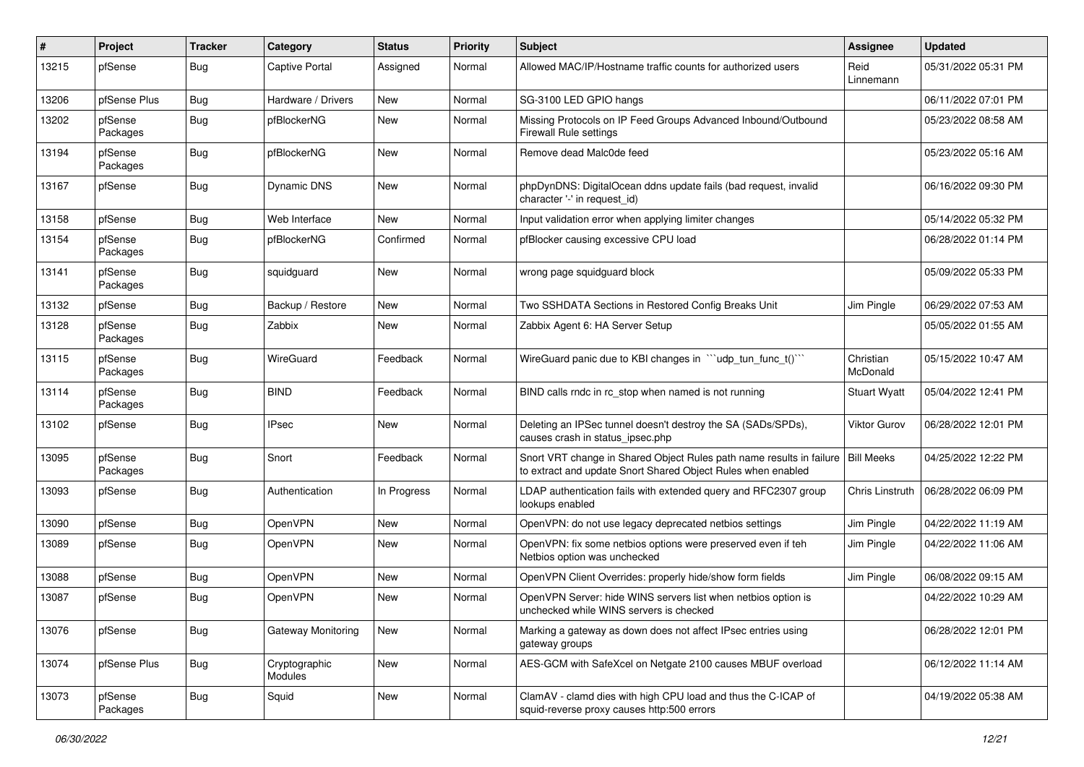| ∦     | Project             | <b>Tracker</b> | Category                 | <b>Status</b> | <b>Priority</b> | <b>Subject</b>                                                                                                                       | Assignee              | <b>Updated</b>      |
|-------|---------------------|----------------|--------------------------|---------------|-----------------|--------------------------------------------------------------------------------------------------------------------------------------|-----------------------|---------------------|
| 13215 | pfSense             | Bug            | <b>Captive Portal</b>    | Assigned      | Normal          | Allowed MAC/IP/Hostname traffic counts for authorized users                                                                          | Reid<br>Linnemann     | 05/31/2022 05:31 PM |
| 13206 | pfSense Plus        | Bug            | Hardware / Drivers       | New           | Normal          | SG-3100 LED GPIO hangs                                                                                                               |                       | 06/11/2022 07:01 PM |
| 13202 | pfSense<br>Packages | Bug            | pfBlockerNG              | New           | Normal          | Missing Protocols on IP Feed Groups Advanced Inbound/Outbound<br><b>Firewall Rule settings</b>                                       |                       | 05/23/2022 08:58 AM |
| 13194 | pfSense<br>Packages | Bug            | pfBlockerNG              | <b>New</b>    | Normal          | Remove dead Malc0de feed                                                                                                             |                       | 05/23/2022 05:16 AM |
| 13167 | pfSense             | Bug            | <b>Dynamic DNS</b>       | New           | Normal          | phpDynDNS: DigitalOcean ddns update fails (bad request, invalid<br>character '-' in request id)                                      |                       | 06/16/2022 09:30 PM |
| 13158 | pfSense             | Bug            | Web Interface            | New           | Normal          | Input validation error when applying limiter changes                                                                                 |                       | 05/14/2022 05:32 PM |
| 13154 | pfSense<br>Packages | Bug            | pfBlockerNG              | Confirmed     | Normal          | pfBlocker causing excessive CPU load                                                                                                 |                       | 06/28/2022 01:14 PM |
| 13141 | pfSense<br>Packages | <b>Bug</b>     | squidguard               | New           | Normal          | wrong page squidguard block                                                                                                          |                       | 05/09/2022 05:33 PM |
| 13132 | pfSense             | Bug            | Backup / Restore         | New           | Normal          | Two SSHDATA Sections in Restored Config Breaks Unit                                                                                  | Jim Pingle            | 06/29/2022 07:53 AM |
| 13128 | pfSense<br>Packages | <b>Bug</b>     | Zabbix                   | New           | Normal          | Zabbix Agent 6: HA Server Setup                                                                                                      |                       | 05/05/2022 01:55 AM |
| 13115 | pfSense<br>Packages | Bug            | WireGuard                | Feedback      | Normal          | WireGuard panic due to KBI changes in "'udp_tun_func_t()'"                                                                           | Christian<br>McDonald | 05/15/2022 10:47 AM |
| 13114 | pfSense<br>Packages | Bug            | <b>BIND</b>              | Feedback      | Normal          | BIND calls rndc in rc_stop when named is not running                                                                                 | <b>Stuart Wyatt</b>   | 05/04/2022 12:41 PM |
| 13102 | pfSense             | Bug            | <b>IPsec</b>             | New           | Normal          | Deleting an IPSec tunnel doesn't destroy the SA (SADs/SPDs),<br>causes crash in status_ipsec.php                                     | <b>Viktor Gurov</b>   | 06/28/2022 12:01 PM |
| 13095 | pfSense<br>Packages | <b>Bug</b>     | Snort                    | Feedback      | Normal          | Snort VRT change in Shared Object Rules path name results in failure<br>to extract and update Snort Shared Object Rules when enabled | <b>Bill Meeks</b>     | 04/25/2022 12:22 PM |
| 13093 | pfSense             | Bug            | Authentication           | In Progress   | Normal          | LDAP authentication fails with extended query and RFC2307 group<br>lookups enabled                                                   | Chris Linstruth       | 06/28/2022 06:09 PM |
| 13090 | pfSense             | Bug            | <b>OpenVPN</b>           | New           | Normal          | OpenVPN: do not use legacy deprecated netbios settings                                                                               | Jim Pingle            | 04/22/2022 11:19 AM |
| 13089 | pfSense             | Bug            | OpenVPN                  | New           | Normal          | OpenVPN: fix some netbios options were preserved even if teh<br>Netbios option was unchecked                                         | Jim Pingle            | 04/22/2022 11:06 AM |
| 13088 | pfSense             | Bug            | OpenVPN                  | <b>New</b>    | Normal          | OpenVPN Client Overrides: properly hide/show form fields                                                                             | Jim Pingle            | 06/08/2022 09:15 AM |
| 13087 | pfSense             | Bug            | <b>OpenVPN</b>           | New           | Normal          | OpenVPN Server: hide WINS servers list when netbios option is<br>unchecked while WINS servers is checked                             |                       | 04/22/2022 10:29 AM |
| 13076 | pfSense             | <b>Bug</b>     | Gateway Monitoring       | New           | Normal          | Marking a gateway as down does not affect IPsec entries using<br>gateway groups                                                      |                       | 06/28/2022 12:01 PM |
| 13074 | pfSense Plus        | <b>Bug</b>     | Cryptographic<br>Modules | New           | Normal          | AES-GCM with SafeXcel on Netgate 2100 causes MBUF overload                                                                           |                       | 06/12/2022 11:14 AM |
| 13073 | pfSense<br>Packages | <b>Bug</b>     | Squid                    | New           | Normal          | ClamAV - clamd dies with high CPU load and thus the C-ICAP of<br>squid-reverse proxy causes http:500 errors                          |                       | 04/19/2022 05:38 AM |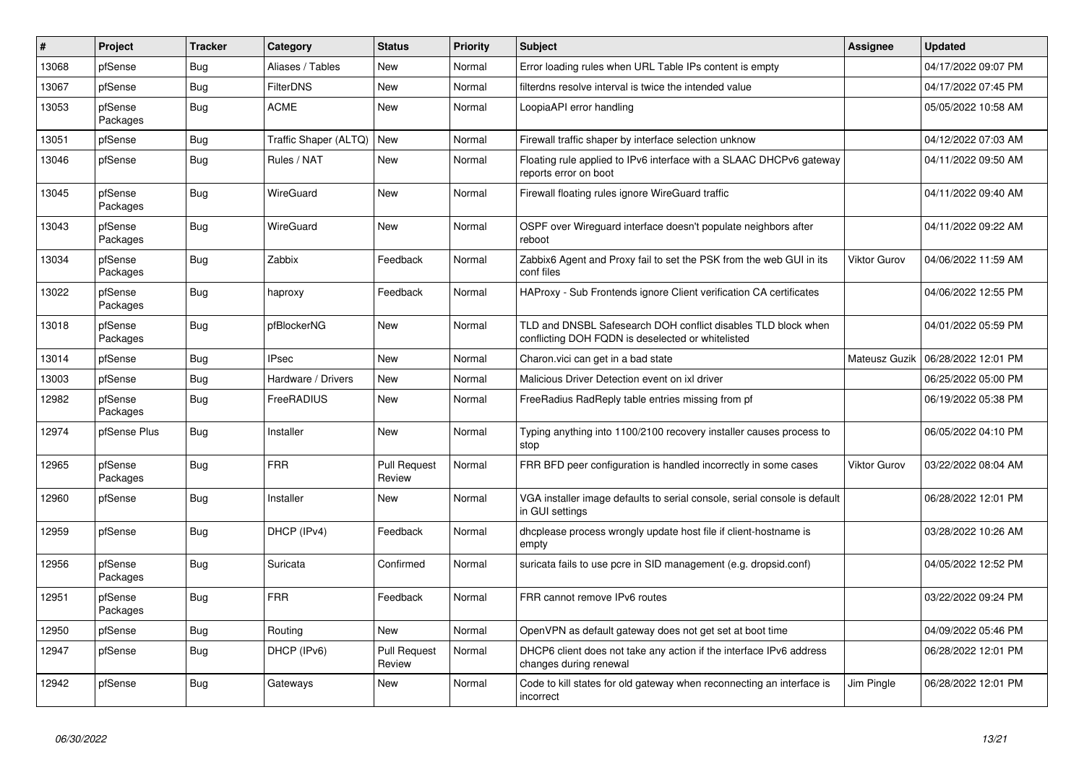| #     | Project             | <b>Tracker</b> | Category              | <b>Status</b>                 | <b>Priority</b> | <b>Subject</b>                                                                                                     | <b>Assignee</b>     | <b>Updated</b>      |
|-------|---------------------|----------------|-----------------------|-------------------------------|-----------------|--------------------------------------------------------------------------------------------------------------------|---------------------|---------------------|
| 13068 | pfSense             | <b>Bug</b>     | Aliases / Tables      | New                           | Normal          | Error loading rules when URL Table IPs content is empty                                                            |                     | 04/17/2022 09:07 PM |
| 13067 | pfSense             | <b>Bug</b>     | <b>FilterDNS</b>      | <b>New</b>                    | Normal          | filterdns resolve interval is twice the intended value                                                             |                     | 04/17/2022 07:45 PM |
| 13053 | pfSense<br>Packages | Bug            | <b>ACME</b>           | <b>New</b>                    | Normal          | LoopiaAPI error handling                                                                                           |                     | 05/05/2022 10:58 AM |
| 13051 | pfSense             | <b>Bug</b>     | Traffic Shaper (ALTQ) | <b>New</b>                    | Normal          | Firewall traffic shaper by interface selection unknow                                                              |                     | 04/12/2022 07:03 AM |
| 13046 | pfSense             | <b>Bug</b>     | Rules / NAT           | New                           | Normal          | Floating rule applied to IPv6 interface with a SLAAC DHCPv6 gateway<br>reports error on boot                       |                     | 04/11/2022 09:50 AM |
| 13045 | pfSense<br>Packages | <b>Bug</b>     | <b>WireGuard</b>      | New                           | Normal          | Firewall floating rules ignore WireGuard traffic                                                                   |                     | 04/11/2022 09:40 AM |
| 13043 | pfSense<br>Packages | Bug            | <b>WireGuard</b>      | New                           | Normal          | OSPF over Wireguard interface doesn't populate neighbors after<br>reboot                                           |                     | 04/11/2022 09:22 AM |
| 13034 | pfSense<br>Packages | <b>Bug</b>     | Zabbix                | Feedback                      | Normal          | Zabbix6 Agent and Proxy fail to set the PSK from the web GUI in its<br>conf files                                  | <b>Viktor Gurov</b> | 04/06/2022 11:59 AM |
| 13022 | pfSense<br>Packages | <b>Bug</b>     | haproxy               | Feedback                      | Normal          | HAProxy - Sub Frontends ignore Client verification CA certificates                                                 |                     | 04/06/2022 12:55 PM |
| 13018 | pfSense<br>Packages | <b>Bug</b>     | pfBlockerNG           | New                           | Normal          | TLD and DNSBL Safesearch DOH conflict disables TLD block when<br>conflicting DOH FQDN is deselected or whitelisted |                     | 04/01/2022 05:59 PM |
| 13014 | pfSense             | <b>Bug</b>     | <b>IPsec</b>          | <b>New</b>                    | Normal          | Charon.vici can get in a bad state                                                                                 | Mateusz Guzik       | 06/28/2022 12:01 PM |
| 13003 | pfSense             | Bug            | Hardware / Drivers    | <b>New</b>                    | Normal          | Malicious Driver Detection event on ixl driver                                                                     |                     | 06/25/2022 05:00 PM |
| 12982 | pfSense<br>Packages | Bug            | FreeRADIUS            | <b>New</b>                    | Normal          | FreeRadius RadReply table entries missing from pf                                                                  |                     | 06/19/2022 05:38 PM |
| 12974 | pfSense Plus        | <b>Bug</b>     | Installer             | New                           | Normal          | Typing anything into 1100/2100 recovery installer causes process to<br>stop                                        |                     | 06/05/2022 04:10 PM |
| 12965 | pfSense<br>Packages | <b>Bug</b>     | <b>FRR</b>            | <b>Pull Request</b><br>Review | Normal          | FRR BFD peer configuration is handled incorrectly in some cases                                                    | <b>Viktor Gurov</b> | 03/22/2022 08:04 AM |
| 12960 | pfSense             | Bug            | Installer             | <b>New</b>                    | Normal          | VGA installer image defaults to serial console, serial console is default<br>in GUI settings                       |                     | 06/28/2022 12:01 PM |
| 12959 | pfSense             | Bug            | DHCP (IPv4)           | Feedback                      | Normal          | dhcplease process wrongly update host file if client-hostname is<br>empty                                          |                     | 03/28/2022 10:26 AM |
| 12956 | pfSense<br>Packages | Bug            | Suricata              | Confirmed                     | Normal          | suricata fails to use pcre in SID management (e.g. dropsid.conf)                                                   |                     | 04/05/2022 12:52 PM |
| 12951 | pfSense<br>Packages | Bug            | <b>FRR</b>            | Feedback                      | Normal          | FRR cannot remove IPv6 routes                                                                                      |                     | 03/22/2022 09:24 PM |
| 12950 | pfSense             | Bug            | Routing               | <b>New</b>                    | Normal          | OpenVPN as default gateway does not get set at boot time                                                           |                     | 04/09/2022 05:46 PM |
| 12947 | pfSense             | <b>Bug</b>     | DHCP (IPv6)           | <b>Pull Request</b><br>Review | Normal          | DHCP6 client does not take any action if the interface IPv6 address<br>changes during renewal                      |                     | 06/28/2022 12:01 PM |
| 12942 | pfSense             | Bug            | Gateways              | New                           | Normal          | Code to kill states for old gateway when reconnecting an interface is<br>incorrect                                 | Jim Pingle          | 06/28/2022 12:01 PM |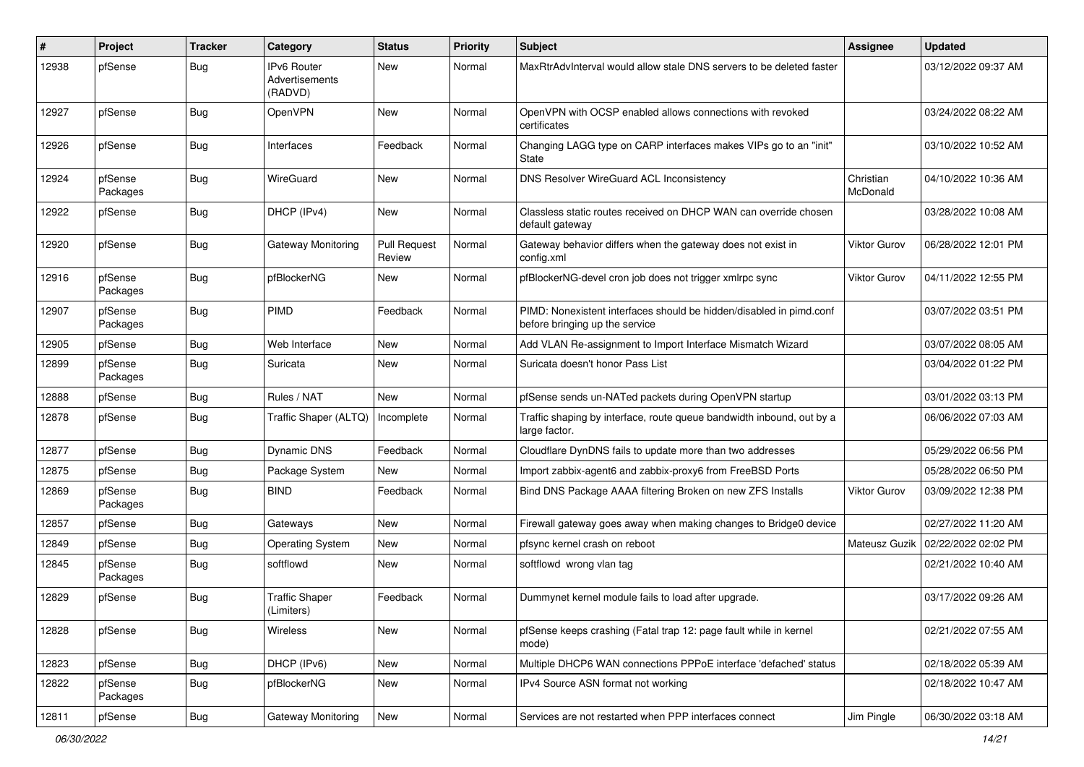| ∦     | Project             | <b>Tracker</b> | Category                                        | <b>Status</b>                 | <b>Priority</b> | <b>Subject</b>                                                                                        | <b>Assignee</b>       | <b>Updated</b>      |
|-------|---------------------|----------------|-------------------------------------------------|-------------------------------|-----------------|-------------------------------------------------------------------------------------------------------|-----------------------|---------------------|
| 12938 | pfSense             | Bug            | <b>IPv6 Router</b><br>Advertisements<br>(RADVD) | <b>New</b>                    | Normal          | MaxRtrAdvInterval would allow stale DNS servers to be deleted faster                                  |                       | 03/12/2022 09:37 AM |
| 12927 | pfSense             | Bug            | OpenVPN                                         | New                           | Normal          | OpenVPN with OCSP enabled allows connections with revoked<br>certificates                             |                       | 03/24/2022 08:22 AM |
| 12926 | pfSense             | Bug            | Interfaces                                      | Feedback                      | Normal          | Changing LAGG type on CARP interfaces makes VIPs go to an "init"<br>State                             |                       | 03/10/2022 10:52 AM |
| 12924 | pfSense<br>Packages | Bug            | WireGuard                                       | New                           | Normal          | DNS Resolver WireGuard ACL Inconsistency                                                              | Christian<br>McDonald | 04/10/2022 10:36 AM |
| 12922 | pfSense             | Bug            | DHCP (IPv4)                                     | New                           | Normal          | Classless static routes received on DHCP WAN can override chosen<br>default gateway                   |                       | 03/28/2022 10:08 AM |
| 12920 | pfSense             | Bug            | Gateway Monitoring                              | <b>Pull Request</b><br>Review | Normal          | Gateway behavior differs when the gateway does not exist in<br>config.xml                             | <b>Viktor Gurov</b>   | 06/28/2022 12:01 PM |
| 12916 | pfSense<br>Packages | <b>Bug</b>     | pfBlockerNG                                     | New                           | Normal          | pfBlockerNG-devel cron job does not trigger xmlrpc sync                                               | <b>Viktor Gurov</b>   | 04/11/2022 12:55 PM |
| 12907 | pfSense<br>Packages | Bug            | PIMD                                            | Feedback                      | Normal          | PIMD: Nonexistent interfaces should be hidden/disabled in pimd.conf<br>before bringing up the service |                       | 03/07/2022 03:51 PM |
| 12905 | pfSense             | <b>Bug</b>     | Web Interface                                   | New                           | Normal          | Add VLAN Re-assignment to Import Interface Mismatch Wizard                                            |                       | 03/07/2022 08:05 AM |
| 12899 | pfSense<br>Packages | Bug            | Suricata                                        | New                           | Normal          | Suricata doesn't honor Pass List                                                                      |                       | 03/04/2022 01:22 PM |
| 12888 | pfSense             | Bug            | Rules / NAT                                     | New                           | Normal          | pfSense sends un-NATed packets during OpenVPN startup                                                 |                       | 03/01/2022 03:13 PM |
| 12878 | pfSense             | Bug            | Traffic Shaper (ALTQ)                           | Incomplete                    | Normal          | Traffic shaping by interface, route queue bandwidth inbound, out by a<br>large factor.                |                       | 06/06/2022 07:03 AM |
| 12877 | pfSense             | Bug            | Dynamic DNS                                     | Feedback                      | Normal          | Cloudflare DynDNS fails to update more than two addresses                                             |                       | 05/29/2022 06:56 PM |
| 12875 | pfSense             | Bug            | Package System                                  | <b>New</b>                    | Normal          | Import zabbix-agent6 and zabbix-proxy6 from FreeBSD Ports                                             |                       | 05/28/2022 06:50 PM |
| 12869 | pfSense<br>Packages | Bug            | <b>BIND</b>                                     | Feedback                      | Normal          | Bind DNS Package AAAA filtering Broken on new ZFS Installs                                            | <b>Viktor Gurov</b>   | 03/09/2022 12:38 PM |
| 12857 | pfSense             | Bug            | Gateways                                        | New                           | Normal          | Firewall gateway goes away when making changes to Bridge0 device                                      |                       | 02/27/2022 11:20 AM |
| 12849 | pfSense             | Bug            | <b>Operating System</b>                         | New                           | Normal          | pfsync kernel crash on reboot                                                                         | Mateusz Guzik         | 02/22/2022 02:02 PM |
| 12845 | pfSense<br>Packages | Bug            | softflowd                                       | New                           | Normal          | softflowd wrong vlan tag                                                                              |                       | 02/21/2022 10:40 AM |
| 12829 | pfSense             | <b>Bug</b>     | <b>Traffic Shaper</b><br>(Limiters)             | Feedback                      | Normal          | Dummynet kernel module fails to load after upgrade.                                                   |                       | 03/17/2022 09:26 AM |
| 12828 | pfSense             | <b>Bug</b>     | Wireless                                        | New                           | Normal          | pfSense keeps crashing (Fatal trap 12: page fault while in kernel<br>mode)                            |                       | 02/21/2022 07:55 AM |
| 12823 | pfSense             | Bug            | DHCP (IPv6)                                     | New                           | Normal          | Multiple DHCP6 WAN connections PPPoE interface 'defached' status                                      |                       | 02/18/2022 05:39 AM |
| 12822 | pfSense<br>Packages | Bug            | pfBlockerNG                                     | New                           | Normal          | IPv4 Source ASN format not working                                                                    |                       | 02/18/2022 10:47 AM |
| 12811 | pfSense             | Bug            | Gateway Monitoring                              | New                           | Normal          | Services are not restarted when PPP interfaces connect                                                | Jim Pingle            | 06/30/2022 03:18 AM |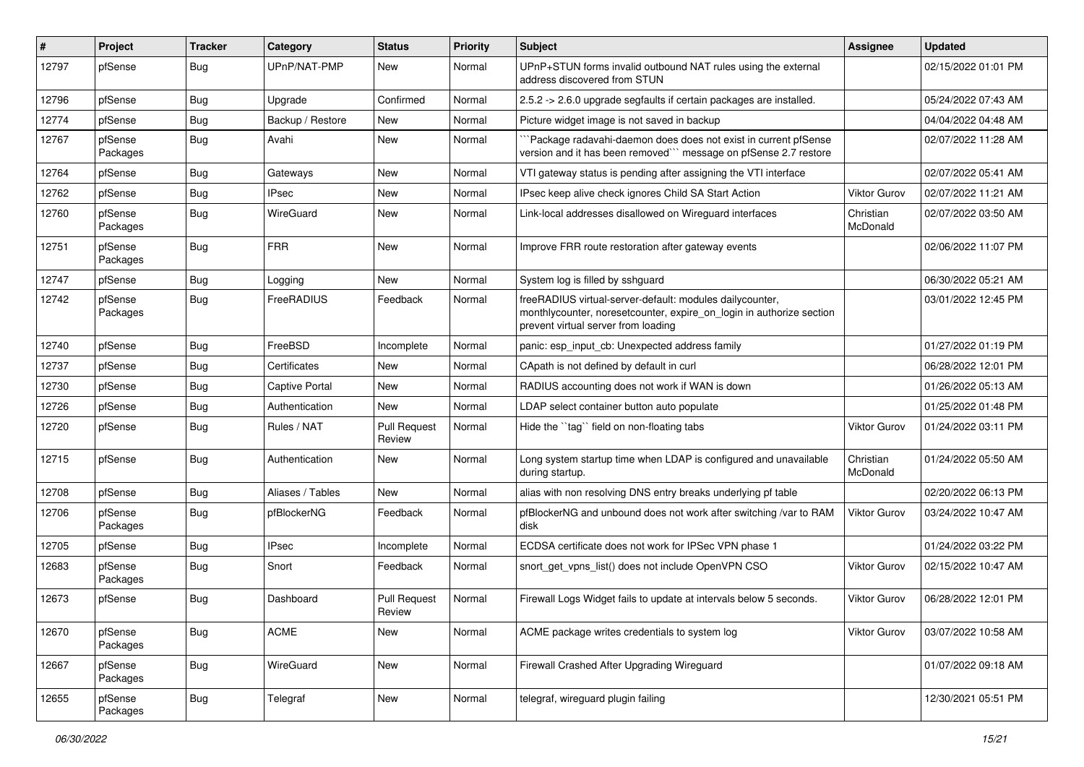| $\vert$ # | Project             | <b>Tracker</b> | Category              | <b>Status</b>                 | Priority | <b>Subject</b>                                                                                                                                                          | Assignee              | <b>Updated</b>      |
|-----------|---------------------|----------------|-----------------------|-------------------------------|----------|-------------------------------------------------------------------------------------------------------------------------------------------------------------------------|-----------------------|---------------------|
| 12797     | pfSense             | <b>Bug</b>     | UPnP/NAT-PMP          | New                           | Normal   | UPnP+STUN forms invalid outbound NAT rules using the external<br>address discovered from STUN                                                                           |                       | 02/15/2022 01:01 PM |
| 12796     | pfSense             | Bug            | Upgrade               | Confirmed                     | Normal   | 2.5.2 -> 2.6.0 upgrade segfaults if certain packages are installed.                                                                                                     |                       | 05/24/2022 07:43 AM |
| 12774     | pfSense             | <b>Bug</b>     | Backup / Restore      | New                           | Normal   | Picture widget image is not saved in backup                                                                                                                             |                       | 04/04/2022 04:48 AM |
| 12767     | pfSense<br>Packages | Bug            | Avahi                 | New                           | Normal   | Package radavahi-daemon does does not exist in current pfSense<br>version and it has been removed" message on pfSense 2.7 restore                                       |                       | 02/07/2022 11:28 AM |
| 12764     | pfSense             | Bug            | Gateways              | New                           | Normal   | VTI gateway status is pending after assigning the VTI interface                                                                                                         |                       | 02/07/2022 05:41 AM |
| 12762     | pfSense             | Bug            | <b>IPsec</b>          | New                           | Normal   | IPsec keep alive check ignores Child SA Start Action                                                                                                                    | <b>Viktor Gurov</b>   | 02/07/2022 11:21 AM |
| 12760     | pfSense<br>Packages | <b>Bug</b>     | WireGuard             | New                           | Normal   | Link-local addresses disallowed on Wireguard interfaces                                                                                                                 | Christian<br>McDonald | 02/07/2022 03:50 AM |
| 12751     | pfSense<br>Packages | Bug            | <b>FRR</b>            | New                           | Normal   | Improve FRR route restoration after gateway events                                                                                                                      |                       | 02/06/2022 11:07 PM |
| 12747     | pfSense             | Bug            | Logging               | New                           | Normal   | System log is filled by sshguard                                                                                                                                        |                       | 06/30/2022 05:21 AM |
| 12742     | pfSense<br>Packages | Bug            | FreeRADIUS            | Feedback                      | Normal   | freeRADIUS virtual-server-default: modules dailycounter,<br>monthlycounter, noresetcounter, expire_on_login in authorize section<br>prevent virtual server from loading |                       | 03/01/2022 12:45 PM |
| 12740     | pfSense             | Bug            | FreeBSD               | Incomplete                    | Normal   | panic: esp input cb: Unexpected address family                                                                                                                          |                       | 01/27/2022 01:19 PM |
| 12737     | pfSense             | <b>Bug</b>     | Certificates          | New                           | Normal   | CApath is not defined by default in curl                                                                                                                                |                       | 06/28/2022 12:01 PM |
| 12730     | pfSense             | Bug            | <b>Captive Portal</b> | New                           | Normal   | RADIUS accounting does not work if WAN is down                                                                                                                          |                       | 01/26/2022 05:13 AM |
| 12726     | pfSense             | Bug            | Authentication        | New                           | Normal   | LDAP select container button auto populate                                                                                                                              |                       | 01/25/2022 01:48 PM |
| 12720     | pfSense             | <b>Bug</b>     | Rules / NAT           | <b>Pull Request</b><br>Review | Normal   | Hide the "tag" field on non-floating tabs                                                                                                                               | <b>Viktor Gurov</b>   | 01/24/2022 03:11 PM |
| 12715     | pfSense             | Bug            | Authentication        | New                           | Normal   | Long system startup time when LDAP is configured and unavailable<br>during startup.                                                                                     | Christian<br>McDonald | 01/24/2022 05:50 AM |
| 12708     | pfSense             | Bug            | Aliases / Tables      | New                           | Normal   | alias with non resolving DNS entry breaks underlying pf table                                                                                                           |                       | 02/20/2022 06:13 PM |
| 12706     | pfSense<br>Packages | Bug            | pfBlockerNG           | Feedback                      | Normal   | pfBlockerNG and unbound does not work after switching /var to RAM<br>disk                                                                                               | <b>Viktor Gurov</b>   | 03/24/2022 10:47 AM |
| 12705     | pfSense             | Bug            | <b>IPsec</b>          | Incomplete                    | Normal   | ECDSA certificate does not work for IPSec VPN phase 1                                                                                                                   |                       | 01/24/2022 03:22 PM |
| 12683     | pfSense<br>Packages | Bug            | Snort                 | Feedback                      | Normal   | snort get vpns list() does not include OpenVPN CSO                                                                                                                      | <b>Viktor Gurov</b>   | 02/15/2022 10:47 AM |
| 12673     | pfSense             | Bug            | Dashboard             | <b>Pull Request</b><br>Review | Normal   | Firewall Logs Widget fails to update at intervals below 5 seconds.                                                                                                      | <b>Viktor Gurov</b>   | 06/28/2022 12:01 PM |
| 12670     | pfSense<br>Packages | Bug            | <b>ACME</b>           | New                           | Normal   | ACME package writes credentials to system log                                                                                                                           | Viktor Gurov          | 03/07/2022 10:58 AM |
| 12667     | pfSense<br>Packages | Bug            | WireGuard             | New                           | Normal   | Firewall Crashed After Upgrading Wireguard                                                                                                                              |                       | 01/07/2022 09:18 AM |
| 12655     | pfSense<br>Packages | Bug            | Telegraf              | New                           | Normal   | telegraf, wireguard plugin failing                                                                                                                                      |                       | 12/30/2021 05:51 PM |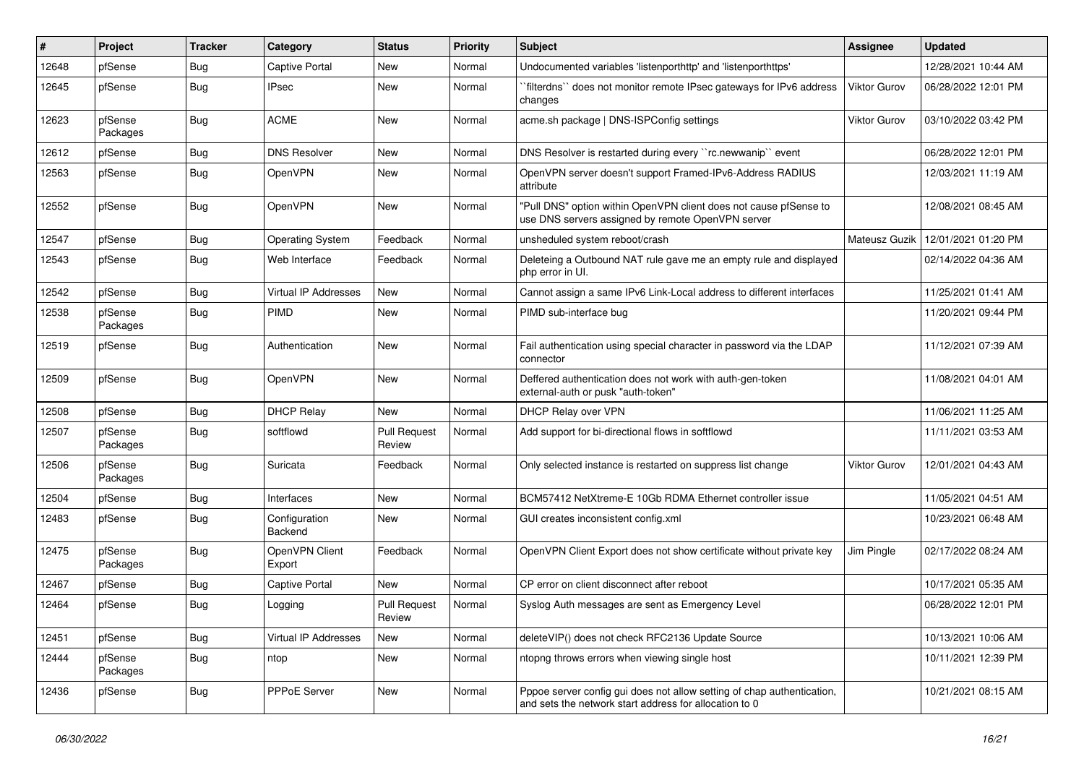| ∦     | Project             | <b>Tracker</b> | Category                 | <b>Status</b>                 | <b>Priority</b> | Subject                                                                                                                          | <b>Assignee</b> | <b>Updated</b>      |
|-------|---------------------|----------------|--------------------------|-------------------------------|-----------------|----------------------------------------------------------------------------------------------------------------------------------|-----------------|---------------------|
| 12648 | pfSense             | <b>Bug</b>     | <b>Captive Portal</b>    | New                           | Normal          | Undocumented variables 'listenporthttp' and 'listenporthttps'                                                                    |                 | 12/28/2021 10:44 AM |
| 12645 | pfSense             | <b>Bug</b>     | <b>IPsec</b>             | New                           | Normal          | `filterdns`` does not monitor remote IPsec gateways for IPv6 address<br>changes                                                  | Viktor Gurov    | 06/28/2022 12:01 PM |
| 12623 | pfSense<br>Packages | Bug            | <b>ACME</b>              | New                           | Normal          | acme.sh package   DNS-ISPConfig settings                                                                                         | Viktor Gurov    | 03/10/2022 03:42 PM |
| 12612 | pfSense             | Bug            | <b>DNS Resolver</b>      | New                           | Normal          | DNS Resolver is restarted during every "rc.newwanip" event                                                                       |                 | 06/28/2022 12:01 PM |
| 12563 | pfSense             | Bug            | OpenVPN                  | New                           | Normal          | OpenVPN server doesn't support Framed-IPv6-Address RADIUS<br>attribute                                                           |                 | 12/03/2021 11:19 AM |
| 12552 | pfSense             | Bug            | OpenVPN                  | New                           | Normal          | "Pull DNS" option within OpenVPN client does not cause pfSense to<br>use DNS servers assigned by remote OpenVPN server           |                 | 12/08/2021 08:45 AM |
| 12547 | pfSense             | Bug            | <b>Operating System</b>  | Feedback                      | Normal          | unsheduled system reboot/crash                                                                                                   | Mateusz Guzik   | 12/01/2021 01:20 PM |
| 12543 | pfSense             | Bug            | Web Interface            | Feedback                      | Normal          | Deleteing a Outbound NAT rule gave me an empty rule and displayed<br>php error in UI.                                            |                 | 02/14/2022 04:36 AM |
| 12542 | pfSense             | Bug            | Virtual IP Addresses     | New                           | Normal          | Cannot assign a same IPv6 Link-Local address to different interfaces                                                             |                 | 11/25/2021 01:41 AM |
| 12538 | pfSense<br>Packages | Bug            | PIMD                     | New                           | Normal          | PIMD sub-interface bug                                                                                                           |                 | 11/20/2021 09:44 PM |
| 12519 | pfSense             | Bug            | Authentication           | New                           | Normal          | Fail authentication using special character in password via the LDAP<br>connector                                                |                 | 11/12/2021 07:39 AM |
| 12509 | pfSense             | Bug            | OpenVPN                  | New                           | Normal          | Deffered authentication does not work with auth-gen-token<br>external-auth or pusk "auth-token"                                  |                 | 11/08/2021 04:01 AM |
| 12508 | pfSense             | Bug            | <b>DHCP Relay</b>        | New                           | Normal          | DHCP Relay over VPN                                                                                                              |                 | 11/06/2021 11:25 AM |
| 12507 | pfSense<br>Packages | Bug            | softflowd                | <b>Pull Request</b><br>Review | Normal          | Add support for bi-directional flows in softflowd                                                                                |                 | 11/11/2021 03:53 AM |
| 12506 | pfSense<br>Packages | <b>Bug</b>     | Suricata                 | Feedback                      | Normal          | Only selected instance is restarted on suppress list change                                                                      | Viktor Gurov    | 12/01/2021 04:43 AM |
| 12504 | pfSense             | Bug            | Interfaces               | New                           | Normal          | BCM57412 NetXtreme-E 10Gb RDMA Ethernet controller issue                                                                         |                 | 11/05/2021 04:51 AM |
| 12483 | pfSense             | Bug            | Configuration<br>Backend | New                           | Normal          | GUI creates inconsistent config.xml                                                                                              |                 | 10/23/2021 06:48 AM |
| 12475 | pfSense<br>Packages | Bug            | OpenVPN Client<br>Export | Feedback                      | Normal          | OpenVPN Client Export does not show certificate without private key                                                              | Jim Pingle      | 02/17/2022 08:24 AM |
| 12467 | pfSense             | Bug            | <b>Captive Portal</b>    | New                           | Normal          | CP error on client disconnect after reboot                                                                                       |                 | 10/17/2021 05:35 AM |
| 12464 | pfSense             | Bug            | Logging                  | <b>Pull Request</b><br>Review | Normal          | Syslog Auth messages are sent as Emergency Level                                                                                 |                 | 06/28/2022 12:01 PM |
| 12451 | pfSense             | <b>Bug</b>     | Virtual IP Addresses     | New                           | Normal          | deleteVIP() does not check RFC2136 Update Source                                                                                 |                 | 10/13/2021 10:06 AM |
| 12444 | pfSense<br>Packages | Bug            | ntop                     | New                           | Normal          | ntopng throws errors when viewing single host                                                                                    |                 | 10/11/2021 12:39 PM |
| 12436 | pfSense             | <b>Bug</b>     | PPPoE Server             | New                           | Normal          | Pppoe server config gui does not allow setting of chap authentication,<br>and sets the network start address for allocation to 0 |                 | 10/21/2021 08:15 AM |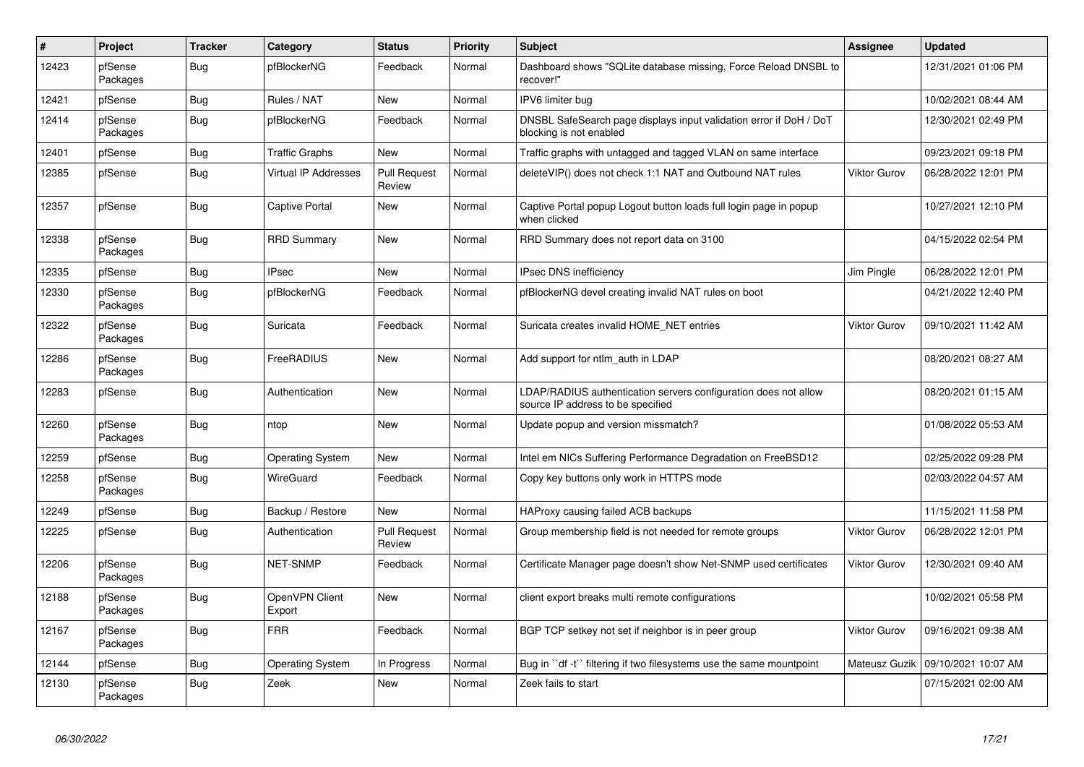| $\vert$ # | <b>Project</b>      | <b>Tracker</b> | Category                    | <b>Status</b>                 | <b>Priority</b> | <b>Subject</b>                                                                                       | <b>Assignee</b>     | <b>Updated</b>      |
|-----------|---------------------|----------------|-----------------------------|-------------------------------|-----------------|------------------------------------------------------------------------------------------------------|---------------------|---------------------|
| 12423     | pfSense<br>Packages | <b>Bug</b>     | pfBlockerNG                 | Feedback                      | Normal          | Dashboard shows "SQLite database missing, Force Reload DNSBL to<br>recover!"                         |                     | 12/31/2021 01:06 PM |
| 12421     | pfSense             | <b>Bug</b>     | Rules / NAT                 | <b>New</b>                    | Normal          | IPV6 limiter bug                                                                                     |                     | 10/02/2021 08:44 AM |
| 12414     | pfSense<br>Packages | Bug            | pfBlockerNG                 | Feedback                      | Normal          | DNSBL SafeSearch page displays input validation error if DoH / DoT<br>blocking is not enabled        |                     | 12/30/2021 02:49 PM |
| 12401     | pfSense             | Bug            | <b>Traffic Graphs</b>       | New                           | Normal          | Traffic graphs with untagged and tagged VLAN on same interface                                       |                     | 09/23/2021 09:18 PM |
| 12385     | pfSense             | Bug            | <b>Virtual IP Addresses</b> | <b>Pull Request</b><br>Review | Normal          | deleteVIP() does not check 1:1 NAT and Outbound NAT rules                                            | <b>Viktor Gurov</b> | 06/28/2022 12:01 PM |
| 12357     | pfSense             | Bug            | <b>Captive Portal</b>       | New                           | Normal          | Captive Portal popup Logout button loads full login page in popup<br>when clicked                    |                     | 10/27/2021 12:10 PM |
| 12338     | pfSense<br>Packages | Bug            | <b>RRD Summary</b>          | <b>New</b>                    | Normal          | RRD Summary does not report data on 3100                                                             |                     | 04/15/2022 02:54 PM |
| 12335     | pfSense             | Bug            | <b>IPsec</b>                | <b>New</b>                    | Normal          | <b>IPsec DNS inefficiency</b>                                                                        | Jim Pingle          | 06/28/2022 12:01 PM |
| 12330     | pfSense<br>Packages | Bug            | pfBlockerNG                 | Feedback                      | Normal          | pfBlockerNG devel creating invalid NAT rules on boot                                                 |                     | 04/21/2022 12:40 PM |
| 12322     | pfSense<br>Packages | <b>Bug</b>     | Suricata                    | Feedback                      | Normal          | Suricata creates invalid HOME_NET entries                                                            | <b>Viktor Gurov</b> | 09/10/2021 11:42 AM |
| 12286     | pfSense<br>Packages | Bug            | <b>FreeRADIUS</b>           | <b>New</b>                    | Normal          | Add support for ntlm auth in LDAP                                                                    |                     | 08/20/2021 08:27 AM |
| 12283     | pfSense             | <b>Bug</b>     | Authentication              | <b>New</b>                    | Normal          | LDAP/RADIUS authentication servers configuration does not allow<br>source IP address to be specified |                     | 08/20/2021 01:15 AM |
| 12260     | pfSense<br>Packages | Bug            | ntop                        | New                           | Normal          | Update popup and version missmatch?                                                                  |                     | 01/08/2022 05:53 AM |
| 12259     | pfSense             | <b>Bug</b>     | <b>Operating System</b>     | <b>New</b>                    | Normal          | Intel em NICs Suffering Performance Degradation on FreeBSD12                                         |                     | 02/25/2022 09:28 PM |
| 12258     | pfSense<br>Packages | Bug            | <b>WireGuard</b>            | Feedback                      | Normal          | Copy key buttons only work in HTTPS mode                                                             |                     | 02/03/2022 04:57 AM |
| 12249     | pfSense             | Bug            | Backup / Restore            | <b>New</b>                    | Normal          | HAProxy causing failed ACB backups                                                                   |                     | 11/15/2021 11:58 PM |
| 12225     | pfSense             | Bug            | Authentication              | <b>Pull Request</b><br>Review | Normal          | Group membership field is not needed for remote groups                                               | <b>Viktor Gurov</b> | 06/28/2022 12:01 PM |
| 12206     | pfSense<br>Packages | Bug            | <b>NET-SNMP</b>             | Feedback                      | Normal          | Certificate Manager page doesn't show Net-SNMP used certificates                                     | <b>Viktor Gurov</b> | 12/30/2021 09:40 AM |
| 12188     | pfSense<br>Packages | <b>Bug</b>     | OpenVPN Client<br>Export    | <b>New</b>                    | Normal          | client export breaks multi remote configurations                                                     |                     | 10/02/2021 05:58 PM |
| 12167     | pfSense<br>Packages | Bug            | <b>FRR</b>                  | Feedback                      | Normal          | BGP TCP setkey not set if neighbor is in peer group                                                  | <b>Viktor Gurov</b> | 09/16/2021 09:38 AM |
| 12144     | pfSense             | <b>Bug</b>     | <b>Operating System</b>     | In Progress                   | Normal          | Bug in "df -t" filtering if two filesystems use the same mountpoint                                  | Mateusz Guzik       | 09/10/2021 10:07 AM |
| 12130     | pfSense<br>Packages | Bug            | Zeek                        | <b>New</b>                    | Normal          | Zeek fails to start                                                                                  |                     | 07/15/2021 02:00 AM |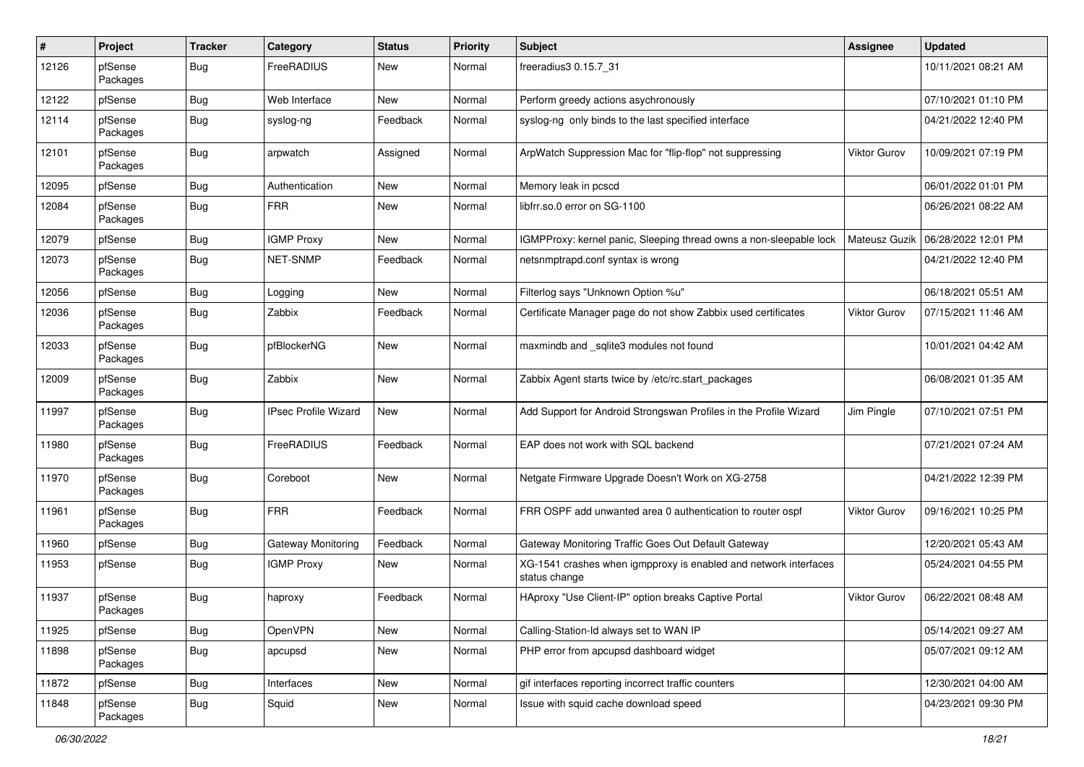| #     | Project             | <b>Tracker</b> | Category                    | <b>Status</b> | <b>Priority</b> | <b>Subject</b>                                                                    | Assignee            | <b>Updated</b>      |
|-------|---------------------|----------------|-----------------------------|---------------|-----------------|-----------------------------------------------------------------------------------|---------------------|---------------------|
| 12126 | pfSense<br>Packages | Bug            | FreeRADIUS                  | New           | Normal          | freeradius3 0.15.7 31                                                             |                     | 10/11/2021 08:21 AM |
| 12122 | pfSense             | Bug            | Web Interface               | New           | Normal          | Perform greedy actions asychronously                                              |                     | 07/10/2021 01:10 PM |
| 12114 | pfSense<br>Packages | Bug            | syslog-ng                   | Feedback      | Normal          | syslog-ng only binds to the last specified interface                              |                     | 04/21/2022 12:40 PM |
| 12101 | pfSense<br>Packages | Bug            | arpwatch                    | Assigned      | Normal          | ArpWatch Suppression Mac for "flip-flop" not suppressing                          | <b>Viktor Gurov</b> | 10/09/2021 07:19 PM |
| 12095 | pfSense             | Bug            | Authentication              | <b>New</b>    | Normal          | Memory leak in pcscd                                                              |                     | 06/01/2022 01:01 PM |
| 12084 | pfSense<br>Packages | Bug            | <b>FRR</b>                  | New           | Normal          | libfrr.so.0 error on SG-1100                                                      |                     | 06/26/2021 08:22 AM |
| 12079 | pfSense             | Bug            | <b>IGMP Proxy</b>           | New           | Normal          | IGMPProxy: kernel panic, Sleeping thread owns a non-sleepable lock                | Mateusz Guzik       | 06/28/2022 12:01 PM |
| 12073 | pfSense<br>Packages | Bug            | NET-SNMP                    | Feedback      | Normal          | netsnmptrapd.conf syntax is wrong                                                 |                     | 04/21/2022 12:40 PM |
| 12056 | pfSense             | Bug            | Logging                     | New           | Normal          | Filterlog says "Unknown Option %u"                                                |                     | 06/18/2021 05:51 AM |
| 12036 | pfSense<br>Packages | Bug            | Zabbix                      | Feedback      | Normal          | Certificate Manager page do not show Zabbix used certificates                     | <b>Viktor Gurov</b> | 07/15/2021 11:46 AM |
| 12033 | pfSense<br>Packages | Bug            | pfBlockerNG                 | New           | Normal          | maxmindb and _sqlite3 modules not found                                           |                     | 10/01/2021 04:42 AM |
| 12009 | pfSense<br>Packages | Bug            | Zabbix                      | New           | Normal          | Zabbix Agent starts twice by /etc/rc.start_packages                               |                     | 06/08/2021 01:35 AM |
| 11997 | pfSense<br>Packages | Bug            | <b>IPsec Profile Wizard</b> | New           | Normal          | Add Support for Android Strongswan Profiles in the Profile Wizard                 | Jim Pingle          | 07/10/2021 07:51 PM |
| 11980 | pfSense<br>Packages | Bug            | FreeRADIUS                  | Feedback      | Normal          | EAP does not work with SQL backend                                                |                     | 07/21/2021 07:24 AM |
| 11970 | pfSense<br>Packages | Bug            | Coreboot                    | New           | Normal          | Netgate Firmware Upgrade Doesn't Work on XG-2758                                  |                     | 04/21/2022 12:39 PM |
| 11961 | pfSense<br>Packages | Bug            | <b>FRR</b>                  | Feedback      | Normal          | FRR OSPF add unwanted area 0 authentication to router ospf                        | <b>Viktor Gurov</b> | 09/16/2021 10:25 PM |
| 11960 | pfSense             | Bug            | Gateway Monitoring          | Feedback      | Normal          | Gateway Monitoring Traffic Goes Out Default Gateway                               |                     | 12/20/2021 05:43 AM |
| 11953 | pfSense             | <b>Bug</b>     | <b>IGMP Proxy</b>           | New           | Normal          | XG-1541 crashes when igmpproxy is enabled and network interfaces<br>status change |                     | 05/24/2021 04:55 PM |
| 11937 | pfSense<br>Packages | Bug            | haproxy                     | Feedback      | Normal          | HAproxy "Use Client-IP" option breaks Captive Portal                              | <b>Viktor Gurov</b> | 06/22/2021 08:48 AM |
| 11925 | pfSense             | Bug            | OpenVPN                     | New           | Normal          | Calling-Station-Id always set to WAN IP                                           |                     | 05/14/2021 09:27 AM |
| 11898 | pfSense<br>Packages | Bug            | apcupsd                     | New           | Normal          | PHP error from apcupsd dashboard widget                                           |                     | 05/07/2021 09:12 AM |
| 11872 | pfSense             | <b>Bug</b>     | Interfaces                  | New           | Normal          | gif interfaces reporting incorrect traffic counters                               |                     | 12/30/2021 04:00 AM |
| 11848 | pfSense<br>Packages | <b>Bug</b>     | Squid                       | New           | Normal          | Issue with squid cache download speed                                             |                     | 04/23/2021 09:30 PM |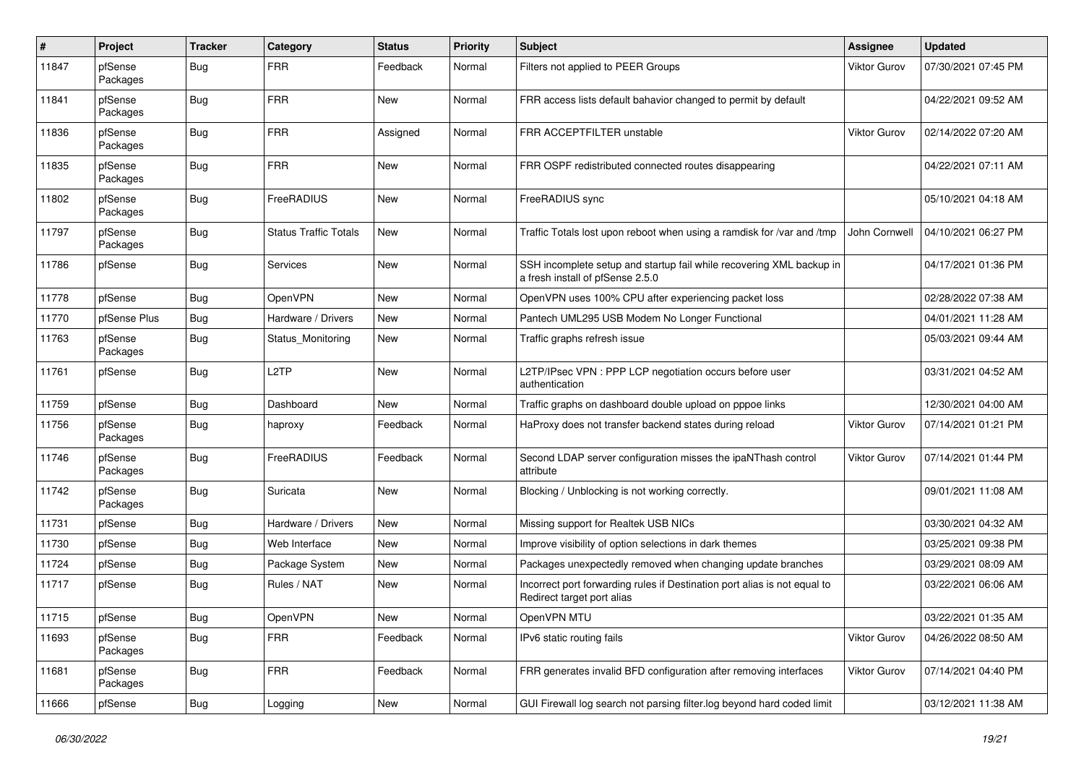| #     | Project             | <b>Tracker</b> | Category                     | <b>Status</b> | <b>Priority</b> | <b>Subject</b>                                                                                           | Assignee            | <b>Updated</b>      |
|-------|---------------------|----------------|------------------------------|---------------|-----------------|----------------------------------------------------------------------------------------------------------|---------------------|---------------------|
| 11847 | pfSense<br>Packages | <b>Bug</b>     | <b>FRR</b>                   | Feedback      | Normal          | Filters not applied to PEER Groups                                                                       | <b>Viktor Gurov</b> | 07/30/2021 07:45 PM |
| 11841 | pfSense<br>Packages | Bug            | <b>FRR</b>                   | New           | Normal          | FRR access lists default bahavior changed to permit by default                                           |                     | 04/22/2021 09:52 AM |
| 11836 | pfSense<br>Packages | Bug            | <b>FRR</b>                   | Assigned      | Normal          | FRR ACCEPTFILTER unstable                                                                                | <b>Viktor Gurov</b> | 02/14/2022 07:20 AM |
| 11835 | pfSense<br>Packages | Bug            | <b>FRR</b>                   | New           | Normal          | FRR OSPF redistributed connected routes disappearing                                                     |                     | 04/22/2021 07:11 AM |
| 11802 | pfSense<br>Packages | Bug            | FreeRADIUS                   | New           | Normal          | FreeRADIUS sync                                                                                          |                     | 05/10/2021 04:18 AM |
| 11797 | pfSense<br>Packages | Bug            | <b>Status Traffic Totals</b> | New           | Normal          | Traffic Totals lost upon reboot when using a ramdisk for /var and /tmp                                   | John Cornwell       | 04/10/2021 06:27 PM |
| 11786 | pfSense             | <b>Bug</b>     | Services                     | New           | Normal          | SSH incomplete setup and startup fail while recovering XML backup in<br>a fresh install of pfSense 2.5.0 |                     | 04/17/2021 01:36 PM |
| 11778 | pfSense             | Bug            | OpenVPN                      | New           | Normal          | OpenVPN uses 100% CPU after experiencing packet loss                                                     |                     | 02/28/2022 07:38 AM |
| 11770 | pfSense Plus        | Bug            | Hardware / Drivers           | New           | Normal          | Pantech UML295 USB Modem No Longer Functional                                                            |                     | 04/01/2021 11:28 AM |
| 11763 | pfSense<br>Packages | <b>Bug</b>     | Status_Monitoring            | New           | Normal          | Traffic graphs refresh issue                                                                             |                     | 05/03/2021 09:44 AM |
| 11761 | pfSense             | <b>Bug</b>     | L <sub>2</sub> TP            | New           | Normal          | L2TP/IPsec VPN : PPP LCP negotiation occurs before user<br>authentication                                |                     | 03/31/2021 04:52 AM |
| 11759 | pfSense             | Bug            | Dashboard                    | New           | Normal          | Traffic graphs on dashboard double upload on pppoe links                                                 |                     | 12/30/2021 04:00 AM |
| 11756 | pfSense<br>Packages | Bug            | haproxy                      | Feedback      | Normal          | HaProxy does not transfer backend states during reload                                                   | <b>Viktor Gurov</b> | 07/14/2021 01:21 PM |
| 11746 | pfSense<br>Packages | Bug            | FreeRADIUS                   | Feedback      | Normal          | Second LDAP server configuration misses the ipaNThash control<br>attribute                               | <b>Viktor Gurov</b> | 07/14/2021 01:44 PM |
| 11742 | pfSense<br>Packages | Bug            | Suricata                     | New           | Normal          | Blocking / Unblocking is not working correctly.                                                          |                     | 09/01/2021 11:08 AM |
| 11731 | pfSense             | Bug            | Hardware / Drivers           | New           | Normal          | Missing support for Realtek USB NICs                                                                     |                     | 03/30/2021 04:32 AM |
| 11730 | pfSense             | Bug            | Web Interface                | New           | Normal          | Improve visibility of option selections in dark themes                                                   |                     | 03/25/2021 09:38 PM |
| 11724 | pfSense             | Bug            | Package System               | New           | Normal          | Packages unexpectedly removed when changing update branches                                              |                     | 03/29/2021 08:09 AM |
| 11717 | pfSense             | <b>Bug</b>     | Rules / NAT                  | New           | Normal          | Incorrect port forwarding rules if Destination port alias is not equal to<br>Redirect target port alias  |                     | 03/22/2021 06:06 AM |
| 11715 | pfSense             | Bug            | OpenVPN                      | New           | Normal          | OpenVPN MTU                                                                                              |                     | 03/22/2021 01:35 AM |
| 11693 | pfSense<br>Packages | <b>Bug</b>     | <b>FRR</b>                   | Feedback      | Normal          | IPv6 static routing fails                                                                                | Viktor Gurov        | 04/26/2022 08:50 AM |
| 11681 | pfSense<br>Packages | Bug            | <b>FRR</b>                   | Feedback      | Normal          | FRR generates invalid BFD configuration after removing interfaces                                        | Viktor Gurov        | 07/14/2021 04:40 PM |
| 11666 | pfSense             | <b>Bug</b>     | Logging                      | New           | Normal          | GUI Firewall log search not parsing filter.log beyond hard coded limit                                   |                     | 03/12/2021 11:38 AM |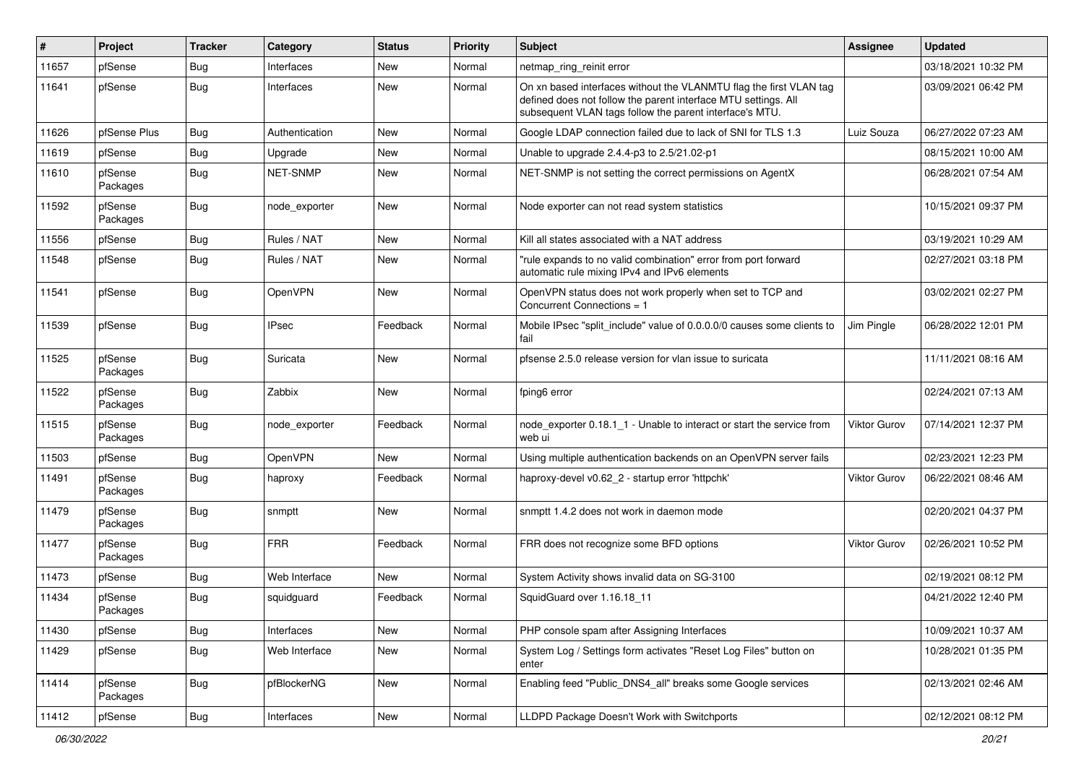| #     | Project             | <b>Tracker</b> | Category        | <b>Status</b> | <b>Priority</b> | <b>Subject</b>                                                                                                                                                                                  | <b>Assignee</b>     | <b>Updated</b>      |
|-------|---------------------|----------------|-----------------|---------------|-----------------|-------------------------------------------------------------------------------------------------------------------------------------------------------------------------------------------------|---------------------|---------------------|
| 11657 | pfSense             | <b>Bug</b>     | Interfaces      | New           | Normal          | netmap_ring_reinit error                                                                                                                                                                        |                     | 03/18/2021 10:32 PM |
| 11641 | pfSense             | <b>Bug</b>     | Interfaces      | New           | Normal          | On xn based interfaces without the VLANMTU flag the first VLAN tag<br>defined does not follow the parent interface MTU settings. All<br>subsequent VLAN tags follow the parent interface's MTU. |                     | 03/09/2021 06:42 PM |
| 11626 | pfSense Plus        | Bug            | Authentication  | New           | Normal          | Google LDAP connection failed due to lack of SNI for TLS 1.3                                                                                                                                    | Luiz Souza          | 06/27/2022 07:23 AM |
| 11619 | pfSense             | <b>Bug</b>     | Upgrade         | New           | Normal          | Unable to upgrade 2.4.4-p3 to 2.5/21.02-p1                                                                                                                                                      |                     | 08/15/2021 10:00 AM |
| 11610 | pfSense<br>Packages | <b>Bug</b>     | <b>NET-SNMP</b> | New           | Normal          | NET-SNMP is not setting the correct permissions on AgentX                                                                                                                                       |                     | 06/28/2021 07:54 AM |
| 11592 | pfSense<br>Packages | Bug            | node exporter   | New           | Normal          | Node exporter can not read system statistics                                                                                                                                                    |                     | 10/15/2021 09:37 PM |
| 11556 | pfSense             | Bug            | Rules / NAT     | New           | Normal          | Kill all states associated with a NAT address                                                                                                                                                   |                     | 03/19/2021 10:29 AM |
| 11548 | pfSense             | <b>Bug</b>     | Rules / NAT     | New           | Normal          | "rule expands to no valid combination" error from port forward<br>automatic rule mixing IPv4 and IPv6 elements                                                                                  |                     | 02/27/2021 03:18 PM |
| 11541 | pfSense             | Bug            | OpenVPN         | New           | Normal          | OpenVPN status does not work properly when set to TCP and<br>Concurrent Connections = 1                                                                                                         |                     | 03/02/2021 02:27 PM |
| 11539 | pfSense             | Bug            | <b>IPsec</b>    | Feedback      | Normal          | Mobile IPsec "split include" value of 0.0.0.0/0 causes some clients to<br>fail                                                                                                                  | Jim Pingle          | 06/28/2022 12:01 PM |
| 11525 | pfSense<br>Packages | Bug            | Suricata        | New           | Normal          | pfsense 2.5.0 release version for vlan issue to suricata                                                                                                                                        |                     | 11/11/2021 08:16 AM |
| 11522 | pfSense<br>Packages | Bug            | Zabbix          | New           | Normal          | fping6 error                                                                                                                                                                                    |                     | 02/24/2021 07:13 AM |
| 11515 | pfSense<br>Packages | Bug            | node exporter   | Feedback      | Normal          | node_exporter 0.18.1_1 - Unable to interact or start the service from<br>web ui                                                                                                                 | <b>Viktor Gurov</b> | 07/14/2021 12:37 PM |
| 11503 | pfSense             | Bug            | OpenVPN         | New           | Normal          | Using multiple authentication backends on an OpenVPN server fails                                                                                                                               |                     | 02/23/2021 12:23 PM |
| 11491 | pfSense<br>Packages | Bug            | haproxy         | Feedback      | Normal          | haproxy-devel v0.62 2 - startup error 'httpchk'                                                                                                                                                 | <b>Viktor Gurov</b> | 06/22/2021 08:46 AM |
| 11479 | pfSense<br>Packages | <b>Bug</b>     | snmptt          | New           | Normal          | snmptt 1.4.2 does not work in daemon mode                                                                                                                                                       |                     | 02/20/2021 04:37 PM |
| 11477 | pfSense<br>Packages | <b>Bug</b>     | <b>FRR</b>      | Feedback      | Normal          | FRR does not recognize some BFD options                                                                                                                                                         | <b>Viktor Gurov</b> | 02/26/2021 10:52 PM |
| 11473 | pfSense             | Bug            | Web Interface   | New           | Normal          | System Activity shows invalid data on SG-3100                                                                                                                                                   |                     | 02/19/2021 08:12 PM |
| 11434 | pfSense<br>Packages | Bug            | squidguard      | Feedback      | Normal          | SquidGuard over 1.16.18 11                                                                                                                                                                      |                     | 04/21/2022 12:40 PM |
| 11430 | pfSense             | <b>Bug</b>     | Interfaces      | New           | Normal          | PHP console spam after Assigning Interfaces                                                                                                                                                     |                     | 10/09/2021 10:37 AM |
| 11429 | pfSense             | <b>Bug</b>     | Web Interface   | New           | Normal          | System Log / Settings form activates "Reset Log Files" button on<br>enter                                                                                                                       |                     | 10/28/2021 01:35 PM |
| 11414 | pfSense<br>Packages | <b>Bug</b>     | pfBlockerNG     | New           | Normal          | Enabling feed "Public_DNS4_all" breaks some Google services                                                                                                                                     |                     | 02/13/2021 02:46 AM |
| 11412 | pfSense             | Bug            | Interfaces      | New           | Normal          | LLDPD Package Doesn't Work with Switchports                                                                                                                                                     |                     | 02/12/2021 08:12 PM |